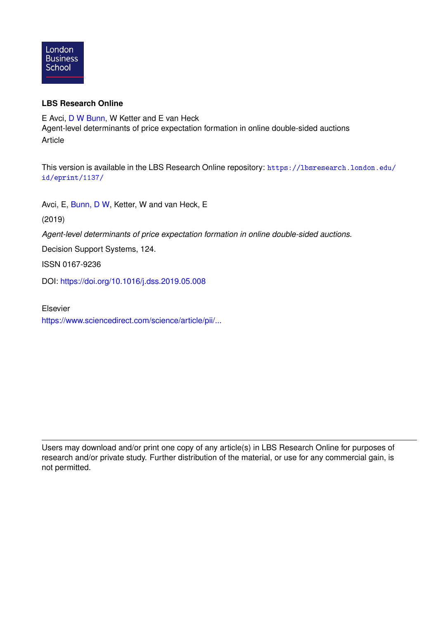

## **LBS Research Online**

E Avci, [D W Bunn,](https://lbsresearch.london.edu/view/lbs_authors/200683.html) W Ketter and E van Heck Agent-level determinants of price expectation formation in online double-sided auctions Article

This version is available in the LBS Research Online repository: [https://lbsresearch.london.edu/](https://lbsresearch.london.edu/id/eprint/1137/) [id/eprint/1137/](https://lbsresearch.london.edu/id/eprint/1137/)

Avci, E, [Bunn, D W,](https://lbsresearch.london.edu/view/lbs_authors/200683.html) Ketter, W and van Heck, E

(2019)

*Agent-level determinants of price expectation formation in online double-sided auctions.*

Decision Support Systems, 124.

ISSN 0167-9236

DOI: <https://doi.org/10.1016/j.dss.2019.05.008>

Elsevier [https://www.sciencedirect.com/science/article/pii/...](https://www.sciencedirect.com/science/article/pii/S0167923619300971)

Users may download and/or print one copy of any article(s) in LBS Research Online for purposes of research and/or private study. Further distribution of the material, or use for any commercial gain, is not permitted.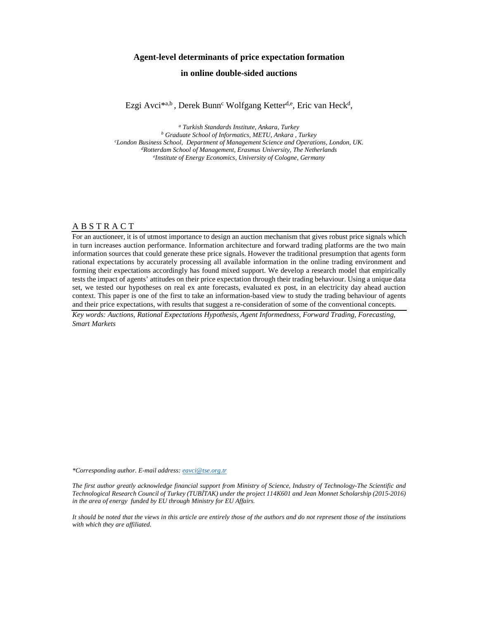#### **Agent-level determinants of price expectation formation**

#### **in online double-sided auctions**

Ezgi Avci<sup>\*a,b</sup>, Derek Bunn<sup>c</sup> Wolfgang Ketter<sup>d,e</sup>, Eric van Heck<sup>d</sup>,

*a Turkish Standards Institute, Ankara, Turkey b Graduate School of Informatics, METU, Ankara , Turkey <sup>c</sup>London Business School, Department of Management Science and Operations, London, UK. <sup>d</sup>Rotterdam School of Management, Erasmus University, The Netherlands e Institute of Energy Economics, University of Cologne, Germany* 

#### A B S T R A C T

For an auctioneer, it is of utmost importance to design an auction mechanism that gives robust price signals which in turn increases auction performance. Information architecture and forward trading platforms are the two main information sources that could generate these price signals. However the traditional presumption that agents form rational expectations by accurately processing all available information in the online trading environment and forming their expectations accordingly has found mixed support. We develop a research model that empirically tests the impact of agents' attitudes on their price expectation through their trading behaviour. Using a unique data set, we tested our hypotheses on real ex ante forecasts, evaluated ex post, in an electricity day ahead auction context. This paper is one of the first to take an information-based view to study the trading behaviour of agents and their price expectations, with results that suggest a re-consideration of some of the conventional concepts.

*Key words: Auctions, Rational Expectations Hypothesis, Agent Informedness, Forward Trading, Forecasting, Smart Markets*

*\*Corresponding author. E-mail address: eavci@tse.org.tr*

*The first author greatly acknowledge financial support from Ministry of Science, Industry of Technology-The Scientific and Technological Research Council of Turkey (TUBİTAK) under the project 114K601 and Jean Monnet Scholarship (2015-2016) in the area of energy funded by EU through Ministry for EU Affairs.*

*It should be noted that the views in this article are entirely those of the authors and do not represent those of the institutions with which they are affiliated.*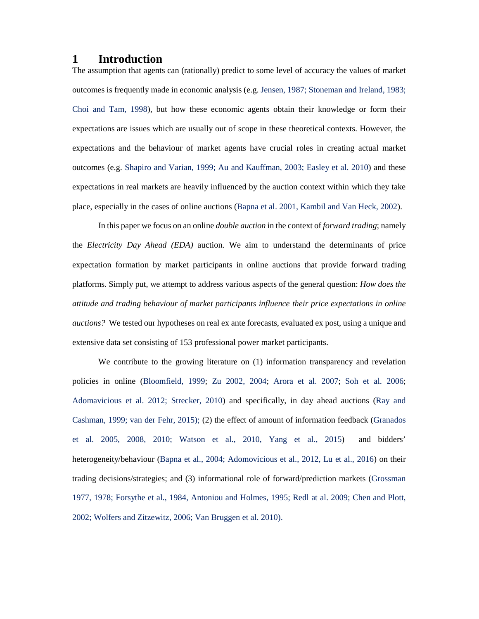## **1 Introduction**

The assumption that agents can (rationally) predict to some level of accuracy the values of market outcomes is frequently made in economic analysis (e.g. Jensen, 1987; Stoneman and Ireland, 1983; Choi and Tam, 1998), but how these economic agents obtain their knowledge or form their expectations are issues which are usually out of scope in these theoretical contexts. However, the expectations and the behaviour of market agents have crucial roles in creating actual market outcomes (e.g. Shapiro and Varian, 1999; Au and Kauffman, 2003; Easley et al. 2010) and these expectations in real markets are heavily influenced by the auction context within which they take place, especially in the cases of online auctions (Bapna et al. 2001, Kambil and Van Heck, 2002).

In this paper we focus on an online *double auction* in the context of *forward trading*; namely the *Electricity Day Ahead (EDA)* auction. We aim to understand the determinants of price expectation formation by market participants in online auctions that provide forward trading platforms. Simply put, we attempt to address various aspects of the general question: *How does the attitude and trading behaviour of market participants influence their price expectations in online auctions?* We tested our hypotheses on real ex ante forecasts, evaluated ex post, using a unique and extensive data set consisting of 153 professional power market participants.

We contribute to the growing literature on (1) information transparency and revelation policies in online (Bloomfield, 1999; Zu 2002, 2004; Arora et al. 2007; Soh et al. 2006; Adomavicious et al. 2012; Strecker, 2010) and specifically, in day ahead auctions (Ray and Cashman, 1999; van der Fehr, 2015); (2) the effect of amount of information feedback (Granados et al. 2005, 2008, 2010; Watson et al., 2010, Yang et al., 2015) and bidders' heterogeneity/behaviour (Bapna et al., 2004; Adomovicious et al., 2012, Lu et al., 2016) on their trading decisions/strategies; and (3) informational role of forward/prediction markets (Grossman 1977, 1978; Forsythe et al., 1984, Antoniou and Holmes, 1995; Redl at al. 2009; Chen and Plott, 2002; Wolfers and Zitzewitz, 2006; Van Bruggen et al. 2010).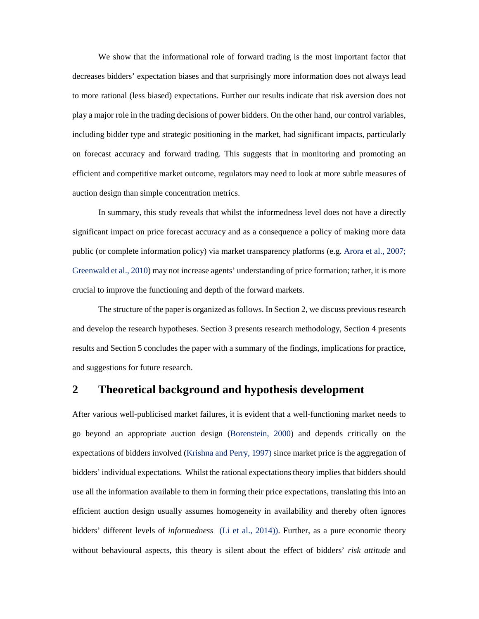We show that the informational role of forward trading is the most important factor that decreases bidders' expectation biases and that surprisingly more information does not always lead to more rational (less biased) expectations. Further our results indicate that risk aversion does not play a major role in the trading decisions of power bidders. On the other hand, our control variables, including bidder type and strategic positioning in the market, had significant impacts, particularly on forecast accuracy and forward trading. This suggests that in monitoring and promoting an efficient and competitive market outcome, regulators may need to look at more subtle measures of auction design than simple concentration metrics.

In summary, this study reveals that whilst the informedness level does not have a directly significant impact on price forecast accuracy and as a consequence a policy of making more data public (or complete information policy) via market transparency platforms (e.g. Arora et al., 2007; Greenwald et al., 2010) may not increase agents' understanding of price formation; rather, it is more crucial to improve the functioning and depth of the forward markets.

The structure of the paper is organized as follows. In Section 2, we discuss previous research and develop the research hypotheses. Section 3 presents research methodology, Section 4 presents results and Section 5 concludes the paper with a summary of the findings, implications for practice, and suggestions for future research.

## **2 Theoretical background and hypothesis development**

After various well-publicised market failures, it is evident that a well-functioning market needs to go beyond an appropriate auction design (Borenstein, 2000) and depends critically on the expectations of bidders involved (Krishna and Perry, 1997) since market price is the aggregation of bidders' individual expectations. Whilst the rational expectations theory implies that bidders should use all the information available to them in forming their price expectations, translating this into an efficient auction design usually assumes homogeneity in availability and thereby often ignores bidders' different levels of *informedness* (Li et al., 2014)). Further, as a pure economic theory without behavioural aspects, this theory is silent about the effect of bidders' *risk attitude* and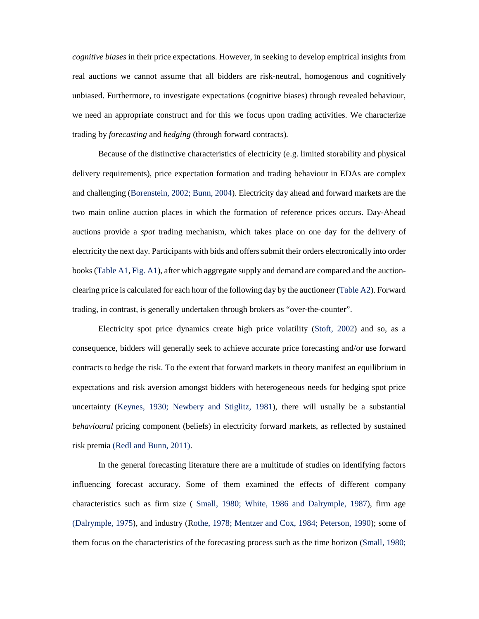*cognitive biases* in their price expectations. However, in seeking to develop empirical insights from real auctions we cannot assume that all bidders are risk-neutral, homogenous and cognitively unbiased. Furthermore, to investigate expectations (cognitive biases) through revealed behaviour, we need an appropriate construct and for this we focus upon trading activities. We characterize trading by *forecasting* and *hedging* (through forward contracts)*.*

Because of the distinctive characteristics of electricity (e.g. limited storability and physical delivery requirements), price expectation formation and trading behaviour in EDAs are complex and challenging (Borenstein, 2002; Bunn, 2004). Electricity day ahead and forward markets are the two main online auction places in which the formation of reference prices occurs. Day-Ahead auctions provide a *spot* trading mechanism, which takes place on one day for the delivery of electricity the next day. Participants with bids and offers submit their orders electronically into order books (Table A1, Fig. A1), after which aggregate supply and demand are compared and the auctionclearing price is calculated for each hour of the following day by the auctioneer (Table A2). Forward trading, in contrast, is generally undertaken through brokers as "over-the-counter".

Electricity spot price dynamics create high price volatility (Stoft, 2002) and so, as a consequence, bidders will generally seek to achieve accurate price forecasting and/or use forward contracts to hedge the risk. To the extent that forward markets in theory manifest an equilibrium in expectations and risk aversion amongst bidders with heterogeneous needs for hedging spot price uncertainty (Keynes, 1930; Newbery and Stiglitz, 1981), there will usually be a substantial *behavioural* pricing component (beliefs) in electricity forward markets, as reflected by sustained risk premia (Redl and Bunn, 2011).

In the general forecasting literature there are a multitude of studies on identifying factors influencing forecast accuracy. Some of them examined the effects of different company characteristics such as firm size ( Small, 1980; White, 1986 and Dalrymple, 1987), firm age (Dalrymple, 1975), and industry (Rothe, 1978; Mentzer and Cox, 1984; Peterson, 1990); some of them focus on the characteristics of the forecasting process such as the time horizon (Small, 1980;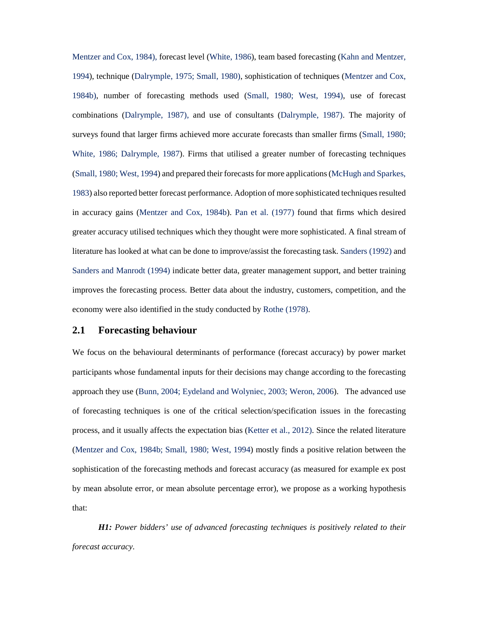Mentzer and Cox, 1984), forecast level (White, 1986), team based forecasting (Kahn and Mentzer, 1994), technique (Dalrymple, 1975; Small, 1980), sophistication of techniques (Mentzer and Cox, 1984b), number of forecasting methods used (Small, 1980; West, 1994), use of forecast combinations (Dalrymple, 1987), and use of consultants (Dalrymple, 1987). The majority of surveys found that larger firms achieved more accurate forecasts than smaller firms (Small, 1980; White, 1986; Dalrymple, 1987). Firms that utilised a greater number of forecasting techniques (Small, 1980; West, 1994) and prepared their forecasts for more applications (McHugh and Sparkes, 1983) also reported better forecast performance. Adoption of more sophisticated techniques resulted in accuracy gains (Mentzer and Cox, 1984b). Pan et al. (1977) found that firms which desired greater accuracy utilised techniques which they thought were more sophisticated. A final stream of literature has looked at what can be done to improve/assist the forecasting task. Sanders (1992) and Sanders and Manrodt (1994) indicate better data, greater management support, and better training improves the forecasting process. Better data about the industry, customers, competition, and the economy were also identified in the study conducted by Rothe (1978).

#### **2.1 Forecasting behaviour**

We focus on the behavioural determinants of performance (forecast accuracy) by power market participants whose fundamental inputs for their decisions may change according to the forecasting approach they use (Bunn, 2004; Eydeland and Wolyniec, 2003; Weron, 2006). The advanced use of forecasting techniques is one of the critical selection/specification issues in the forecasting process, and it usually affects the expectation bias (Ketter et al., 2012). Since the related literature (Mentzer and Cox, 1984b; Small, 1980; West, 1994) mostly finds a positive relation between the sophistication of the forecasting methods and forecast accuracy (as measured for example ex post by mean absolute error, or mean absolute percentage error), we propose as a working hypothesis that:

*H1: Power bidders' use of advanced forecasting techniques is positively related to their forecast accuracy.*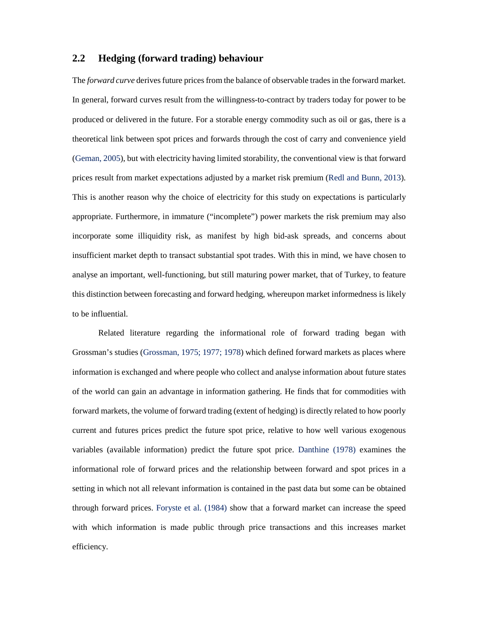## **2.2 Hedging (forward trading) behaviour**

The *forward curve* derives future prices from the balance of observable trades in the forward market. In general, forward curves result from the willingness-to-contract by traders today for power to be produced or delivered in the future. For a storable energy commodity such as oil or gas, there is a theoretical link between spot prices and forwards through the cost of carry and convenience yield (Geman, 2005), but with electricity having limited storability, the conventional view is that forward prices result from market expectations adjusted by a market risk premium (Redl and Bunn, 2013). This is another reason why the choice of electricity for this study on expectations is particularly appropriate. Furthermore, in immature ("incomplete") power markets the risk premium may also incorporate some illiquidity risk, as manifest by high bid-ask spreads, and concerns about insufficient market depth to transact substantial spot trades. With this in mind, we have chosen to analyse an important, well-functioning, but still maturing power market, that of Turkey, to feature this distinction between forecasting and forward hedging, whereupon market informedness is likely to be influential.

Related literature regarding the informational role of forward trading began with Grossman's studies (Grossman, 1975; 1977; 1978) which defined forward markets as places where information is exchanged and where people who collect and analyse information about future states of the world can gain an advantage in information gathering. He finds that for commodities with forward markets, the volume of forward trading (extent of hedging) is directly related to how poorly current and futures prices predict the future spot price, relative to how well various exogenous variables (available information) predict the future spot price. Danthine (1978) examines the informational role of forward prices and the relationship between forward and spot prices in a setting in which not all relevant information is contained in the past data but some can be obtained through forward prices. Foryste et al. (1984) show that a forward market can increase the speed with which information is made public through price transactions and this increases market efficiency.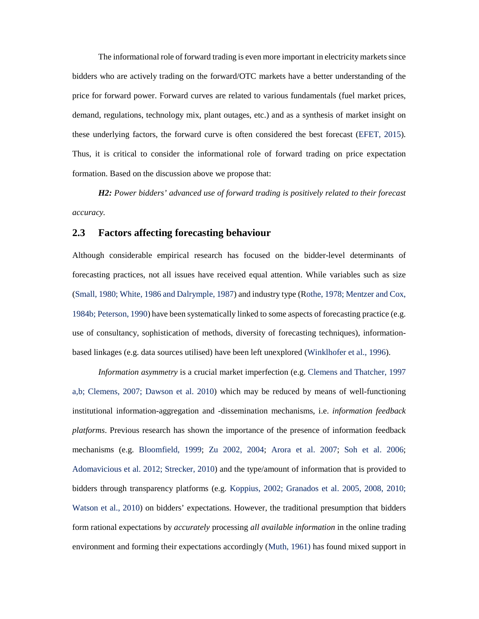The informational role of forward trading is even more important in electricity markets since bidders who are actively trading on the forward/OTC markets have a better understanding of the price for forward power. Forward curves are related to various fundamentals (fuel market prices, demand, regulations, technology mix, plant outages, etc.) and as a synthesis of market insight on these underlying factors, the forward curve is often considered the best forecast (EFET, 2015). Thus, it is critical to consider the informational role of forward trading on price expectation formation. Based on the discussion above we propose that:

*H2: Power bidders' advanced use of forward trading is positively related to their forecast accuracy.* 

#### **2.3 Factors affecting forecasting behaviour**

Although considerable empirical research has focused on the bidder-level determinants of forecasting practices, not all issues have received equal attention. While variables such as size (Small, 1980; White, 1986 and Dalrymple, 1987) and industry type (Rothe, 1978; Mentzer and Cox, 1984b; Peterson, 1990) have been systematically linked to some aspects of forecasting practice (e.g. use of consultancy, sophistication of methods, diversity of forecasting techniques), informationbased linkages (e.g. data sources utilised) have been left unexplored (Winklhofer et al., 1996).

*Information asymmetry* is a crucial market imperfection (e.g. Clemens and Thatcher, 1997 a,b; Clemens, 2007; Dawson et al. 2010) which may be reduced by means of well-functioning institutional information-aggregation and -dissemination mechanisms, i.e. *information feedback platforms*. Previous research has shown the importance of the presence of information feedback mechanisms (e.g. Bloomfield, 1999; Zu 2002, 2004; Arora et al. 2007; Soh et al. 2006; Adomavicious et al. 2012; Strecker, 2010) and the type/amount of information that is provided to bidders through transparency platforms (e.g. Koppius, 2002; Granados et al. 2005, 2008, 2010; Watson et al., 2010) on bidders' expectations. However, the traditional presumption that bidders form rational expectations by *accurately* processing *all available information* in the online trading environment and forming their expectations accordingly (Muth, 1961) has found mixed support in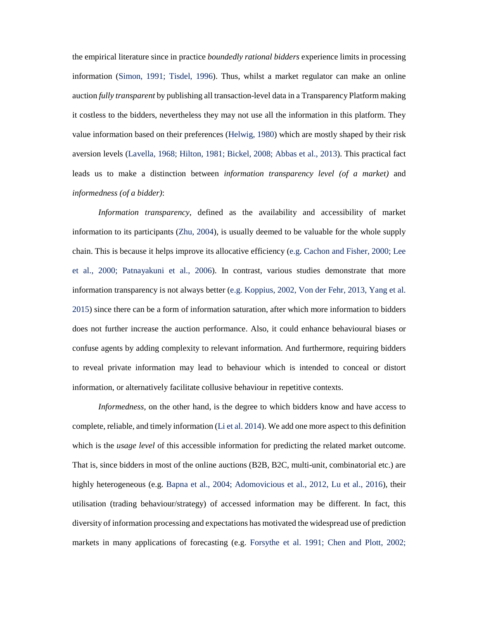the empirical literature since in practice *boundedly rational bidders* experience limits in processing information (Simon, 1991; Tisdel, 1996). Thus, whilst a market regulator can make an online auction *fully transparent* by publishing all transaction-level data in a Transparency Platform making it costless to the bidders, nevertheless they may not use all the information in this platform. They value information based on their preferences (Helwig, 1980) which are mostly shaped by their risk aversion levels (Lavella, 1968; Hilton, 1981; Bickel, 2008; Abbas et al., 2013). This practical fact leads us to make a distinction between *information transparency level (of a market)* and *informedness (of a bidder)*:

*Information transparency*, defined as the availability and accessibility of market information to its participants (Zhu, 2004), is usually deemed to be valuable for the whole supply chain. This is because it helps improve its allocative efficiency (e.g. Cachon and Fisher, 2000; Lee et al., 2000; Patnayakuni et al., 2006). In contrast, various studies demonstrate that more information transparency is not always better (e.g. Koppius, 2002, Von der Fehr, 2013, Yang et al. 2015) since there can be a form of information saturation, after which more information to bidders does not further increase the auction performance. Also, it could enhance behavioural biases or confuse agents by adding complexity to relevant information. And furthermore, requiring bidders to reveal private information may lead to behaviour which is intended to conceal or distort information, or alternatively facilitate collusive behaviour in repetitive contexts.

*Informedness,* on the other hand, is the degree to which bidders know and have access to complete, reliable, and timely information (Li et al. 2014). We add one more aspect to this definition which is the *usage level* of this accessible information for predicting the related market outcome. That is, since bidders in most of the online auctions (B2B, B2C, multi-unit, combinatorial etc.) are highly heterogeneous (e.g. Bapna et al., 2004; Adomovicious et al., 2012, Lu et al., 2016), their utilisation (trading behaviour/strategy) of accessed information may be different. In fact, this diversity of information processing and expectations has motivated the widespread use of prediction markets in many applications of forecasting (e.g. Forsythe et al. 1991; Chen and Plott, 2002;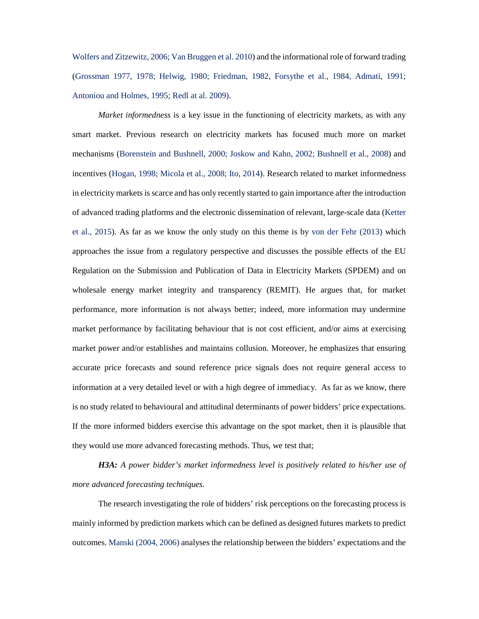Wolfers and Zitzewitz, 2006; Van Bruggen et al. 2010) and the informational role of forward trading (Grossman 1977, 1978; Helwig, 1980; Friedman, 1982, Forsythe et al., 1984, Admati, 1991; Antoniou and Holmes, 1995; Redl at al. 2009).

*Market informedness* is a key issue in the functioning of electricity markets, as with any smart market. Previous research on electricity markets has focused much more on market mechanisms (Borenstein and Bushnell, 2000; Joskow and Kahn, 2002; Bushnell et al., 2008) and incentives (Hogan, 1998; Micola et al., 2008; Ito, 2014). Research related to market informedness in electricity markets is scarce and has only recently started to gain importance after the introduction of advanced trading platforms and the electronic dissemination of relevant, large-scale data (Ketter et al., 2015). As far as we know the only study on this theme is by von der Fehr (2013) which approaches the issue from a regulatory perspective and discusses the possible effects of the EU Regulation on the Submission and Publication of Data in Electricity Markets (SPDEM) and on wholesale energy market integrity and transparency (REMIT). He argues that, for market performance, more information is not always better; indeed, more information may undermine market performance by facilitating behaviour that is not cost efficient, and/or aims at exercising market power and/or establishes and maintains collusion. Moreover, he emphasizes that ensuring accurate price forecasts and sound reference price signals does not require general access to information at a very detailed level or with a high degree of immediacy. As far as we know, there is no study related to behavioural and attitudinal determinants of power bidders' price expectations. If the more informed bidders exercise this advantage on the spot market, then it is plausible that they would use more advanced forecasting methods. Thus, we test that;

*H3A: A power bidder's market informedness level is positively related to his/her use of more advanced forecasting techniques.* 

The research investigating the role of bidders' risk perceptions on the forecasting process is mainly informed by prediction markets which can be defined as designed futures markets to predict outcomes. Manski (2004, 2006) analyses the relationship between the bidders' expectations and the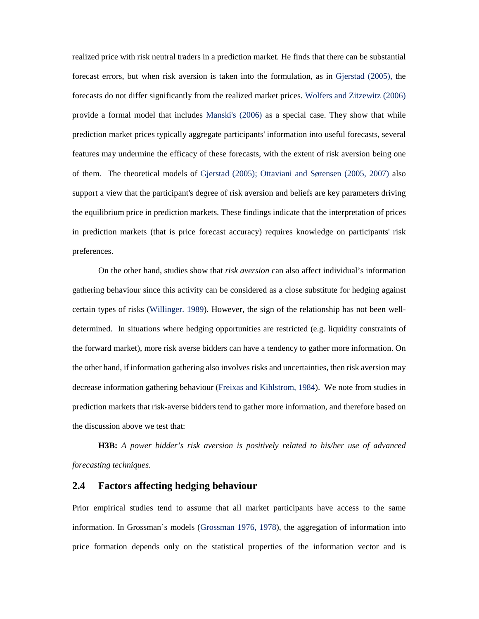realized price with risk neutral traders in a prediction market. He finds that there can be substantial forecast errors, but when risk aversion is taken into the formulation, as in Gjerstad (2005), the forecasts do not differ significantly from the realized market prices. Wolfers and Zitzewitz (2006) provide a formal model that includes Manski's (2006) as a special case. They show that while prediction market prices typically aggregate participants' information into useful forecasts, several features may undermine the efficacy of these forecasts, with the extent of risk aversion being one of them. The theoretical models of Gjerstad (2005); Ottaviani and Sørensen (2005, 2007) also support a view that the participant's degree of risk aversion and beliefs are key parameters driving the equilibrium price in prediction markets. These findings indicate that the interpretation of prices in prediction markets (that is price forecast accuracy) requires knowledge on participants' risk preferences.

On the other hand, studies show that *risk aversion* can also affect individual's information gathering behaviour since this activity can be considered as a close substitute for hedging against certain types of risks (Willinger. 1989). However, the sign of the relationship has not been welldetermined. In situations where hedging opportunities are restricted (e.g. liquidity constraints of the forward market), more risk averse bidders can have a tendency to gather more information. On the other hand, if information gathering also involves risks and uncertainties, then risk aversion may decrease information gathering behaviour (Freixas and Kihlstrom, 1984). We note from studies in prediction markets that risk-averse bidders tend to gather more information, and therefore based on the discussion above we test that:

**H3B:** *A power bidder's risk aversion is positively related to his/her use of advanced forecasting techniques.* 

#### **2.4 Factors affecting hedging behaviour**

Prior empirical studies tend to assume that all market participants have access to the same information. In Grossman's models (Grossman 1976, 1978), the aggregation of information into price formation depends only on the statistical properties of the information vector and is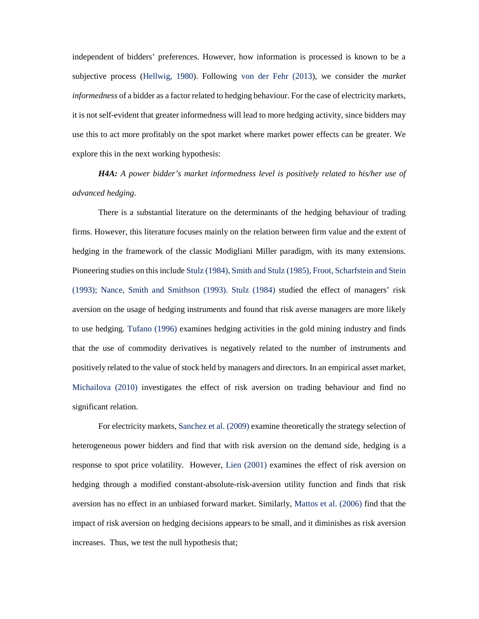independent of bidders' preferences. However, how information is processed is known to be a subjective process (Hellwig, 1980). Following von der Fehr (2013), we consider the *market informedness* of a bidder as a factor related to hedging behaviour. For the case of electricity markets, it is not self-evident that greater informedness will lead to more hedging activity, since bidders may use this to act more profitably on the spot market where market power effects can be greater. We explore this in the next working hypothesis:

*H4A: A power bidder's market informedness level is positively related to his/her use of advanced hedging.* 

There is a substantial literature on the determinants of the hedging behaviour of trading firms. However, this literature focuses mainly on the relation between firm value and the extent of hedging in the framework of the classic Modigliani Miller paradigm, with its many extensions. Pioneering studies on this include Stulz (1984), Smith and Stulz (1985), Froot, Scharfstein and Stein (1993); Nance, Smith and Smithson (1993). Stulz (1984) studied the effect of managers' risk aversion on the usage of hedging instruments and found that risk averse managers are more likely to use hedging. Tufano (1996) examines hedging activities in the gold mining industry and finds that the use of commodity derivatives is negatively related to the number of instruments and positively related to the value of stock held by managers and directors. In an empirical asset market, Michailova (2010) investigates the effect of risk aversion on trading behaviour and find no significant relation.

For electricity markets, Sanchez et al. (2009) examine theoretically the strategy selection of heterogeneous power bidders and find that with risk aversion on the demand side, hedging is a response to spot price volatility. However, Lien (2001) examines the effect of risk aversion on hedging through a modified constant-absolute-risk-aversion utility function and finds that risk aversion has no effect in an unbiased forward market. Similarly, Mattos et al. (2006) find that the impact of risk aversion on hedging decisions appears to be small, and it diminishes as risk aversion increases. Thus, we test the null hypothesis that;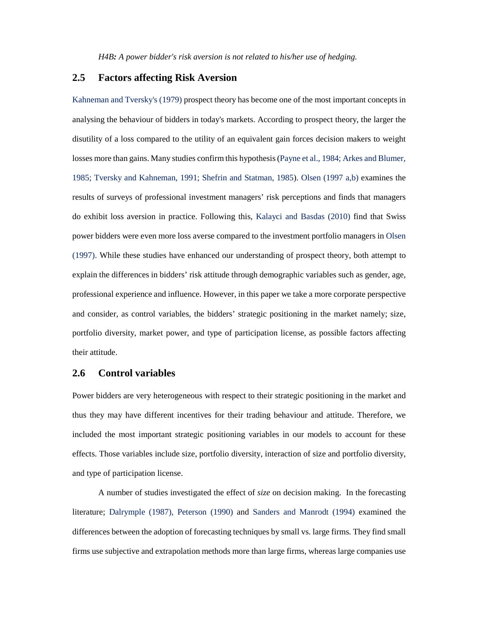*H4B: A power bidder's risk aversion is not related to his/her use of hedging.* 

#### **2.5 Factors affecting Risk Aversion**

Kahneman and Tversky's (1979) prospect theory has become one of the most important concepts in analysing the behaviour of bidders in today's markets. According to prospect theory, the larger the disutility of a loss compared to the utility of an equivalent gain forces decision makers to weight losses more than gains. Many studies confirm this hypothesis (Payne et al., 1984; Arkes and Blumer, 1985; Tversky and Kahneman, 1991; Shefrin and Statman, 1985). Olsen (1997 a,b) examines the results of surveys of professional investment managers' risk perceptions and finds that managers do exhibit loss aversion in practice. Following this, Kalayci and Basdas (2010) find that Swiss power bidders were even more loss averse compared to the investment portfolio managers in Olsen (1997). While these studies have enhanced our understanding of prospect theory, both attempt to explain the differences in bidders' risk attitude through demographic variables such as gender, age, professional experience and influence. However, in this paper we take a more corporate perspective and consider, as control variables, the bidders' strategic positioning in the market namely; size, portfolio diversity, market power, and type of participation license, as possible factors affecting their attitude.

#### **2.6 Control variables**

Power bidders are very heterogeneous with respect to their strategic positioning in the market and thus they may have different incentives for their trading behaviour and attitude. Therefore, we included the most important strategic positioning variables in our models to account for these effects. Those variables include size, portfolio diversity, interaction of size and portfolio diversity, and type of participation license.

A number of studies investigated the effect of *size* on decision making. In the forecasting literature; Dalrymple (1987), Peterson (1990) and Sanders and Manrodt (1994) examined the differences between the adoption of forecasting techniques by small vs. large firms. They find small firms use subjective and extrapolation methods more than large firms, whereas large companies use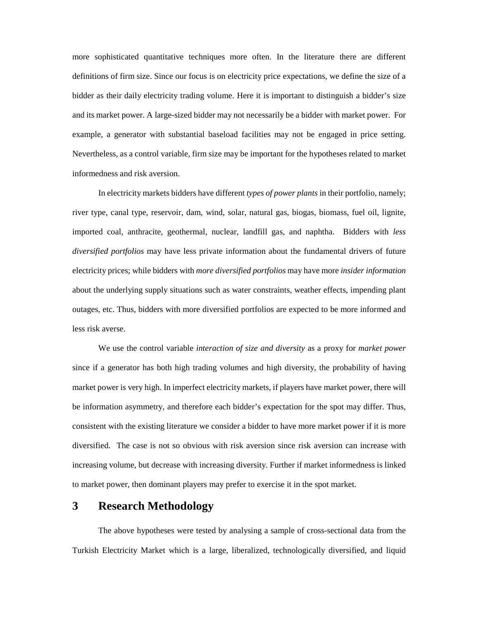more sophisticated quantitative techniques more often. In the literature there are different definitions of firm size. Since our focus is on electricity price expectations, we define the size of a bidder as their daily electricity trading volume. Here it is important to distinguish a bidder's size and its market power. A large-sized bidder may not necessarily be a bidder with market power. For example, a generator with substantial baseload facilities may not be engaged in price setting. Nevertheless, as a control variable, firm size may be important for the hypotheses related to market informedness and risk aversion.

In electricity markets bidders have different *types of power plants* in their portfolio, namely; river type, canal type, reservoir, dam, wind, solar, natural gas, biogas, biomass, fuel oil, lignite, imported coal, anthracite, geothermal, nuclear, landfill gas, and naphtha. Bidders with *less diversified portfolios* may have less private information about the fundamental drivers of future electricity prices; while bidders with *more diversified portfolios* may have more *insider information*  about the underlying supply situations such as water constraints, weather effects, impending plant outages, etc. Thus, bidders with more diversified portfolios are expected to be more informed and less risk averse.

We use the control variable *interaction of size and diversity* as a proxy for *market power* since if a generator has both high trading volumes and high diversity, the probability of having market power is very high. In imperfect electricity markets, if players have market power, there will be information asymmetry, and therefore each bidder's expectation for the spot may differ. Thus, consistent with the existing literature we consider a bidder to have more market power if it is more diversified. The case is not so obvious with risk aversion since risk aversion can increase with increasing volume, but decrease with increasing diversity. Further if market informedness is linked to market power, then dominant players may prefer to exercise it in the spot market.

## **3 Research Methodology**

The above hypotheses were tested by analysing a sample of cross-sectional data from the Turkish Electricity Market which is a large, liberalized, technologically diversified, and liquid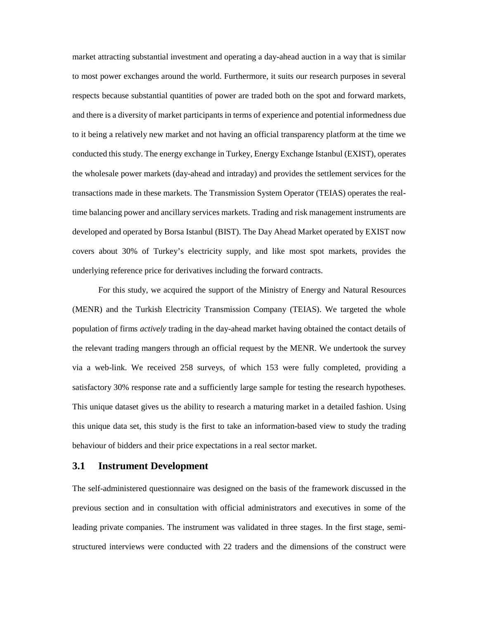market attracting substantial investment and operating a day-ahead auction in a way that is similar to most power exchanges around the world. Furthermore, it suits our research purposes in several respects because substantial quantities of power are traded both on the spot and forward markets, and there is a diversity of market participants in terms of experience and potential informedness due to it being a relatively new market and not having an official transparency platform at the time we conducted this study. The energy exchange in Turkey, Energy Exchange Istanbul (EXIST), operates the wholesale power markets (day-ahead and intraday) and provides the settlement services for the transactions made in these markets. The Transmission System Operator (TEIAS) operates the realtime balancing power and ancillary services markets. Trading and risk management instruments are developed and operated by Borsa Istanbul (BIST). The Day Ahead Market operated by EXIST now covers about 30% of Turkey's electricity supply, and like most spot markets, provides the underlying reference price for derivatives including the forward contracts.

For this study, we acquired the support of the Ministry of Energy and Natural Resources (MENR) and the Turkish Electricity Transmission Company (TEIAS). We targeted the whole population of firms *actively* trading in the day-ahead market having obtained the contact details of the relevant trading mangers through an official request by the MENR. We undertook the survey via a web-link. We received 258 surveys, of which 153 were fully completed, providing a satisfactory 30% response rate and a sufficiently large sample for testing the research hypotheses. This unique dataset gives us the ability to research a maturing market in a detailed fashion. Using this unique data set, this study is the first to take an information-based view to study the trading behaviour of bidders and their price expectations in a real sector market.

#### **3.1 Instrument Development**

The self-administered questionnaire was designed on the basis of the framework discussed in the previous section and in consultation with official administrators and executives in some of the leading private companies. The instrument was validated in three stages. In the first stage, semistructured interviews were conducted with 22 traders and the dimensions of the construct were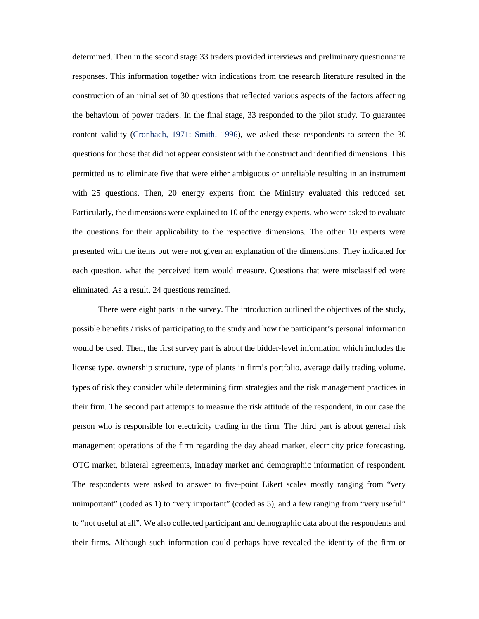determined. Then in the second stage 33 traders provided interviews and preliminary questionnaire responses. This information together with indications from the research literature resulted in the construction of an initial set of 30 questions that reflected various aspects of the factors affecting the behaviour of power traders. In the final stage, 33 responded to the pilot study. To guarantee content validity (Cronbach, 1971: Smith, 1996), we asked these respondents to screen the 30 questions for those that did not appear consistent with the construct and identified dimensions. This permitted us to eliminate five that were either ambiguous or unreliable resulting in an instrument with 25 questions. Then, 20 energy experts from the Ministry evaluated this reduced set. Particularly, the dimensions were explained to 10 of the energy experts, who were asked to evaluate the questions for their applicability to the respective dimensions. The other 10 experts were presented with the items but were not given an explanation of the dimensions. They indicated for each question, what the perceived item would measure. Questions that were misclassified were eliminated. As a result, 24 questions remained.

There were eight parts in the survey. The introduction outlined the objectives of the study, possible benefits / risks of participating to the study and how the participant's personal information would be used. Then, the first survey part is about the bidder-level information which includes the license type, ownership structure, type of plants in firm's portfolio, average daily trading volume, types of risk they consider while determining firm strategies and the risk management practices in their firm. The second part attempts to measure the risk attitude of the respondent, in our case the person who is responsible for electricity trading in the firm. The third part is about general risk management operations of the firm regarding the day ahead market, electricity price forecasting, OTC market, bilateral agreements, intraday market and demographic information of respondent. The respondents were asked to answer to five-point Likert scales mostly ranging from "very unimportant" (coded as 1) to "very important" (coded as 5), and a few ranging from "very useful" to "not useful at all". We also collected participant and demographic data about the respondents and their firms. Although such information could perhaps have revealed the identity of the firm or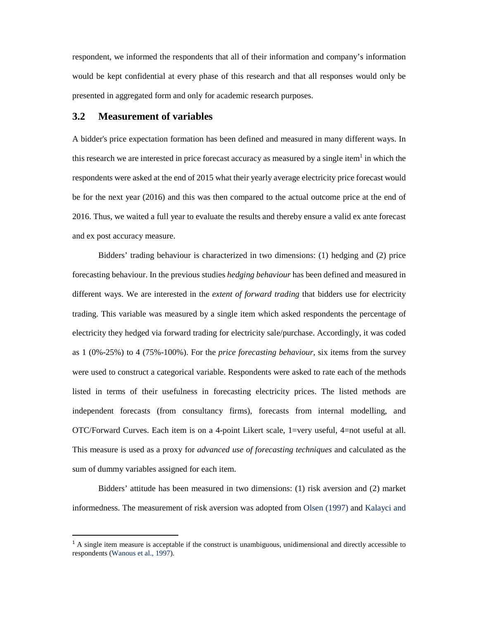respondent, we informed the respondents that all of their information and company's information would be kept confidential at every phase of this research and that all responses would only be presented in aggregated form and only for academic research purposes.

#### **3.2 Measurement of variables**

1

A bidder's price expectation formation has been defined and measured in many different ways. In this research we are interested in price forecast accuracy as measured by a single item<sup>1</sup> in which the respondents were asked at the end of 2015 what their yearly average electricity price forecast would be for the next year (2016) and this was then compared to the actual outcome price at the end of 2016. Thus, we waited a full year to evaluate the results and thereby ensure a valid ex ante forecast and ex post accuracy measure.

Bidders' trading behaviour is characterized in two dimensions: (1) hedging and (2) price forecasting behaviour. In the previous studies *hedging behaviour* has been defined and measured in different ways. We are interested in the *extent of forward trading* that bidders use for electricity trading. This variable was measured by a single item which asked respondents the percentage of electricity they hedged via forward trading for electricity sale/purchase. Accordingly, it was coded as 1 (0%-25%) to 4 (75%-100%). For the *price forecasting behaviour*, six items from the survey were used to construct a categorical variable. Respondents were asked to rate each of the methods listed in terms of their usefulness in forecasting electricity prices. The listed methods are independent forecasts (from consultancy firms), forecasts from internal modelling, and OTC/Forward Curves. Each item is on a 4-point Likert scale, 1=very useful, 4=not useful at all. This measure is used as a proxy for *advanced use of forecasting techniques* and calculated as the sum of dummy variables assigned for each item.

Bidders' attitude has been measured in two dimensions: (1) risk aversion and (2) market informedness. The measurement of risk aversion was adopted from Olsen (1997) and Kalayci and

 $<sup>1</sup>$  A single item measure is acceptable if the construct is unambiguous, unidimensional and directly accessible to</sup> respondents (Wanous et al., 1997).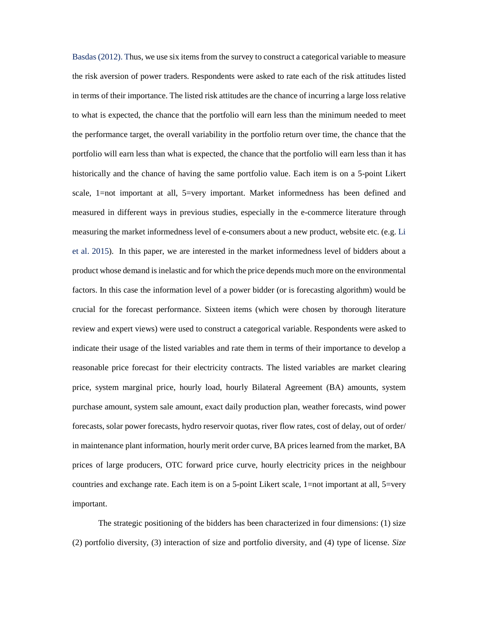Basdas (2012). Thus, we use six items from the survey to construct a categorical variable to measure the risk aversion of power traders. Respondents were asked to rate each of the risk attitudes listed in terms of their importance. The listed risk attitudes are the chance of incurring a large loss relative to what is expected, the chance that the portfolio will earn less than the minimum needed to meet the performance target, the overall variability in the portfolio return over time, the chance that the portfolio will earn less than what is expected, the chance that the portfolio will earn less than it has historically and the chance of having the same portfolio value. Each item is on a 5-point Likert scale, 1=not important at all, 5=very important. Market informedness has been defined and measured in different ways in previous studies, especially in the e-commerce literature through measuring the market informedness level of e-consumers about a new product, website etc. (e.g. Li et al. 2015). In this paper, we are interested in the market informedness level of bidders about a product whose demand is inelastic and for which the price depends much more on the environmental factors. In this case the information level of a power bidder (or is forecasting algorithm) would be crucial for the forecast performance. Sixteen items (which were chosen by thorough literature review and expert views) were used to construct a categorical variable. Respondents were asked to indicate their usage of the listed variables and rate them in terms of their importance to develop a reasonable price forecast for their electricity contracts. The listed variables are market clearing price, system marginal price, hourly load, hourly Bilateral Agreement (BA) amounts, system purchase amount, system sale amount, exact daily production plan, weather forecasts, wind power forecasts, solar power forecasts, hydro reservoir quotas, river flow rates, cost of delay, out of order/ in maintenance plant information, hourly merit order curve, BA prices learned from the market, BA prices of large producers, OTC forward price curve, hourly electricity prices in the neighbour countries and exchange rate. Each item is on a 5-point Likert scale, 1=not important at all, 5=very important.

The strategic positioning of the bidders has been characterized in four dimensions: (1) size (2) portfolio diversity, (3) interaction of size and portfolio diversity, and (4) type of license. *Size*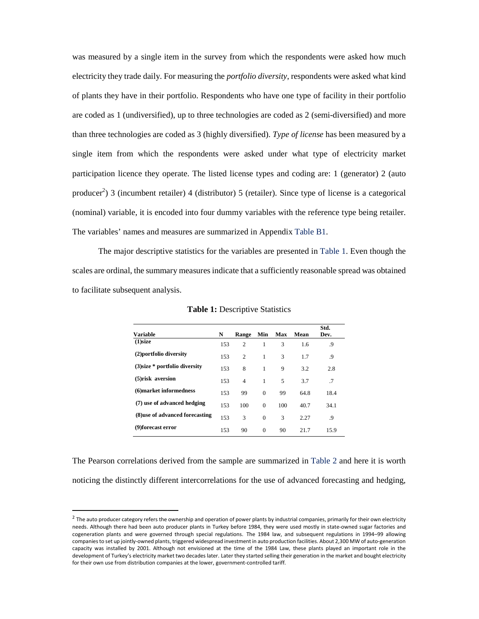was measured by a single item in the survey from which the respondents were asked how much electricity they trade daily. For measuring the *portfolio diversity*, respondents were asked what kind of plants they have in their portfolio. Respondents who have one type of facility in their portfolio are coded as 1 (undiversified), up to three technologies are coded as 2 (semi-diversified) and more than three technologies are coded as 3 (highly diversified). *Type of license* has been measured by a single item from which the respondents were asked under what type of electricity market participation licence they operate. The listed license types and coding are: 1 (generator) 2 (auto producer<sup>2</sup>) 3 (incumbent retailer) 4 (distributor) 5 (retailer). Since type of license is a categorical (nominal) variable, it is encoded into four dummy variables with the reference type being retailer. The variables' names and measures are summarized in Appendix Table B1.

The major descriptive statistics for the variables are presented in Table 1. Even though the scales are ordinal, the summary measures indicate that a sufficiently reasonable spread was obtained to facilitate subsequent analysis.

| Variable                         | N   | <b>Range</b>   | Min          | Max | Mean | Std.<br>Dev. |
|----------------------------------|-----|----------------|--------------|-----|------|--------------|
| $(1)$ size                       | 153 | $\overline{2}$ | 1            | 3   | 1.6  | .9           |
| (2) portfolio diversity          | 153 | $\overline{2}$ | 1            | 3   | 1.7  | .9           |
| $(3)$ size * portfolio diversity | 153 | 8              | 1            | 9   | 3.2  | 2.8          |
| (5) risk aversion                | 153 | $\overline{4}$ | 1            | 5   | 3.7  | .7           |
| (6) market informedness          | 153 | 99             | $\theta$     | 99  | 64.8 | 18.4         |
| (7) use of advanced hedging      | 153 | 100            | $\theta$     | 100 | 40.7 | 34.1         |
| (8) use of advanced forecasting  | 153 | 3              | $\theta$     | 3   | 2.27 | .9           |
| (9) forecast error               | 153 | 90             | $\mathbf{0}$ | 90  | 21.7 | 15.9         |

**Table 1:** Descriptive Statistics

The Pearson correlations derived from the sample are summarized in Table 2 and here it is worth noticing the distinctly different intercorrelations for the use of advanced forecasting and hedging,

l,

<sup>&</sup>lt;sup>2</sup> The auto producer category refers the ownership and operation of power plants by industrial companies, primarily for their own electricity needs. Although there had been auto producer plants in Turkey before 1984, they were used mostly in state-owned sugar factories and cogeneration plants and were governed through special regulations. The 1984 law, and subsequent regulations in 1994–99 allowing companies to set up jointly-owned plants, triggered widespread investment in auto production facilities. About 2,300 MW of auto-generation capacity was installed by 2001. Although not envisioned at the time of the 1984 Law, these plants played an important role in the development of Turkey's electricity market two decades later. Later they started selling their generation in the market and bought electricity for their own use from distribution companies at the lower, government-controlled tariff.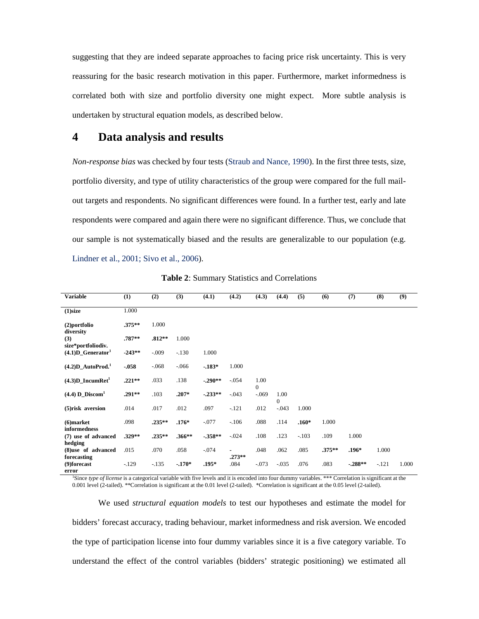suggesting that they are indeed separate approaches to facing price risk uncertainty. This is very reassuring for the basic research motivation in this paper. Furthermore, market informedness is correlated both with size and portfolio diversity one might expect. More subtle analysis is undertaken by structural equation models, as described below.

## **4 Data analysis and results**

*Non-response bias* was checked by four tests (Straub and Nance, 1990). In the first three tests, size, portfolio diversity, and type of utility characteristics of the group were compared for the full mailout targets and respondents. No significant differences were found. In a further test, early and late respondents were compared and again there were no significant difference. Thus, we conclude that our sample is not systematically biased and the results are generalizable to our population (e.g. Lindner et al., 2001; Sivo et al., 2006).

| <b>Variable</b>                   | (1)       | (2)       | (3)      | (4.1)      | (4.2)                      | (4.3)     | (4.4)            | (5)     | (6)       | (7)       | (8)    | (9)   |
|-----------------------------------|-----------|-----------|----------|------------|----------------------------|-----------|------------------|---------|-----------|-----------|--------|-------|
| $(1)$ size                        | 1.000     |           |          |            |                            |           |                  |         |           |           |        |       |
| $(2)$ portfolio<br>diversity      | $.375***$ | 1.000     |          |            |                            |           |                  |         |           |           |        |       |
| (3)<br>size*portfoliodiv.         | $.787**$  | $.812**$  | 1.000    |            |                            |           |                  |         |           |           |        |       |
| $(4.1)$ D Generator <sup>1</sup>  | $-243**$  | $-0.09$   | $-.130$  | 1.000      |                            |           |                  |         |           |           |        |       |
| $(4.2)D_{\text{-}}AutoProd.1$     | $-0.58$   | $-068$    | $-.066$  | $-183*$    | 1.000                      |           |                  |         |           |           |        |       |
| $(4.3)$ D_IncumRet <sup>1</sup>   | $.221**$  | .033      | .138     | $-.290**$  | $-.054$                    | 1.00<br>0 |                  |         |           |           |        |       |
| $(4.4)$ D_Discom <sup>1</sup>     | $.291**$  | .103      | $.207*$  | $-0.233**$ | $-0.043$                   | $-.069$   | 1.00<br>$\Omega$ |         |           |           |        |       |
| (5)risk aversion                  | .014      | .017      | .012     | .097       | $-121$                     | .012      | $-0.043$         | 1.000   |           |           |        |       |
| $(6)$ market<br>informedness      | .098      | $.235***$ | $.176*$  | $-0.077$   | $-106$                     | .088      | .114             | $.160*$ | 1.000     |           |        |       |
| (7) use of advanced<br>hedging    | .329**    | $.235***$ | $.366**$ | $-358**$   | $-0.024$                   | .108      | .123             | $-.103$ | .109      | 1.000     |        |       |
| (8)use of advanced<br>forecasting | .015      | .070      | .058     | $-.074$    | $\blacksquare$<br>$.273**$ | .048      | .062             | .085    | $.375***$ | $.196*$   | 1.000  |       |
| (9)forecast<br>error              | $-129$    | $-135$    | $-.170*$ | $.195*$    | .084                       | $-.073$   | $-.035$          | .076    | .083      | $-.288**$ | $-121$ | 1.000 |

**Table 2**: Summary Statistics and Correlations

<sup>1</sup>Since *type of license* is a categorical variable with five levels and it is encoded into four dummy variables. \*\*\* Correlation is significant at the 0.001 level (2-tailed). \*\*Correlation is significant at the 0.01 level (2-tailed). \*Correlation is significant at the 0.05 level (2-tailed).

We used *structural equation models* to test our hypotheses and estimate the model for bidders' forecast accuracy, trading behaviour, market informedness and risk aversion. We encoded the type of participation license into four dummy variables since it is a five category variable. To understand the effect of the control variables (bidders' strategic positioning) we estimated all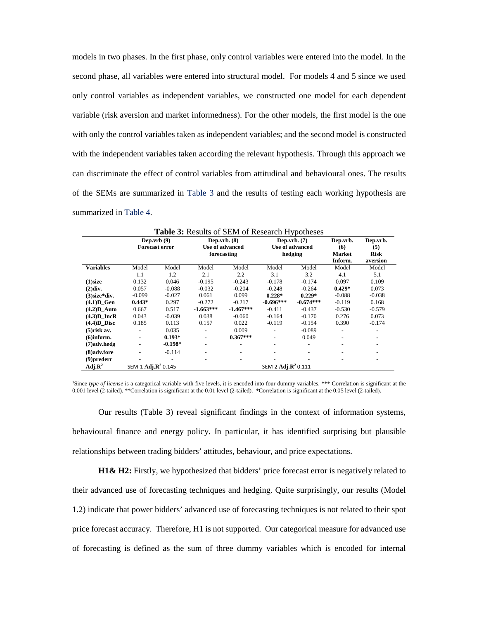models in two phases. In the first phase, only control variables were entered into the model. In the second phase, all variables were entered into structural model. For models 4 and 5 since we used only control variables as independent variables, we constructed one model for each dependent variable (risk aversion and market informedness). For the other models, the first model is the one with only the control variables taken as independent variables; and the second model is constructed with the independent variables taken according the relevant hypothesis. Through this approach we can discriminate the effect of control variables from attitudinal and behavioural ones. The results of the SEMs are summarized in Table 3 and the results of testing each working hypothesis are summarized in Table 4.

|                                |                        |                                        | <b>Table 3: Results of SEM of Research Hypotheses</b> |                                                         |              |                                                     |                                             |                                     |
|--------------------------------|------------------------|----------------------------------------|-------------------------------------------------------|---------------------------------------------------------|--------------|-----------------------------------------------------|---------------------------------------------|-------------------------------------|
|                                |                        | Dep.vrb $(9)$<br><b>Forecast error</b> |                                                       | Dep.vrb. $(8)$<br><b>Use of advanced</b><br>forecasting |              | Dep.vrb. $(7)$<br><b>Use of advanced</b><br>hedging | Dep.vrb.<br>(6)<br><b>Market</b><br>Inform. | Dep.vrb.<br>(5)<br>Risk<br>aversion |
| <b>Variables</b>               | Model<br>1.1           | Model<br>1.2                           | Model<br>2.1                                          | Model<br>2.2                                            | Model<br>3.1 | Model<br>3.2                                        | Model<br>4.1                                | Model<br>5.1                        |
| $(1)$ size                     | 0.132                  | 0.046                                  | $-0.195$                                              | $-0.243$                                                | $-0.178$     | $-0.174$                                            | 0.097                                       | 0.109                               |
| (2)div.                        | 0.057                  | $-0.088$                               | $-0.032$                                              | $-0.204$                                                | $-0.248$     | $-0.264$                                            | $0.429*$                                    | 0.073                               |
| $(3)$ size*div.                | $-0.099$               | $-0.027$                               | 0.061                                                 | 0.099                                                   | $0.228*$     | $0.229*$                                            | $-0.088$                                    | $-0.038$                            |
| $(4.1)D$ Gen                   | $0.443*$               | 0.297                                  | $-0.272$                                              | $-0.217$                                                | -0.696***    | $-0.674***$                                         | $-0.119$                                    | 0.168                               |
| $(4.2)$ D Auto                 | 0.667                  | 0.517                                  | $-1.663***$                                           | $-1.467***$                                             | $-0.411$     | $-0.437$                                            | $-0.530$                                    | $-0.579$                            |
| $(4.3)$ D IncR                 | 0.043                  | $-0.039$                               | 0.038                                                 | $-0.060$                                                | $-0.164$     | $-0.170$                                            | 0.276                                       | 0.073                               |
| $(4.4)$ D Disc                 | 0.185                  | 0.113                                  | 0.157                                                 | 0.022                                                   | $-0.119$     | $-0.154$                                            | 0.390                                       | $-0.174$                            |
| $(5)$ risk av.                 |                        | 0.035                                  |                                                       | 0.009                                                   |              | $-0.089$                                            |                                             |                                     |
| $(6)$ inform.                  |                        | $0.193*$                               |                                                       | $0.367***$                                              |              | 0.049                                               |                                             | ۰                                   |
| $(7)$ adv.hedg                 |                        | $-0.198*$                              |                                                       |                                                         |              |                                                     |                                             |                                     |
| (8)adv.fore                    |                        | $-0.114$                               |                                                       |                                                         |              |                                                     |                                             |                                     |
| $(9)$ prederr                  |                        |                                        |                                                       |                                                         |              |                                                     |                                             |                                     |
| Adj. $\overline{\mathbf{R}^2}$ | SEM-1 Adj. $R^2$ 0.145 |                                        | SEM-2 Adi. $R^2$ 0.111                                |                                                         |              |                                                     |                                             |                                     |

<sup>1</sup>Since *type of license* is a categorical variable with five levels, it is encoded into four dummy variables. \*\*\* Correlation is significant at the 0.001 level (2-tailed). \*\*Correlation is significant at the 0.01 level (2-tailed). \*Correlation is significant at the 0.05 level (2-tailed).

Our results (Table 3) reveal significant findings in the context of information systems, behavioural finance and energy policy. In particular, it has identified surprising but plausible relationships between trading bidders' attitudes, behaviour, and price expectations.

**H1& H2:** Firstly, we hypothesized that bidders' price forecast error is negatively related to their advanced use of forecasting techniques and hedging. Quite surprisingly, our results (Model 1.2) indicate that power bidders' advanced use of forecasting techniques is not related to their spot price forecast accuracy. Therefore, H1 is not supported. Our categorical measure for advanced use of forecasting is defined as the sum of three dummy variables which is encoded for internal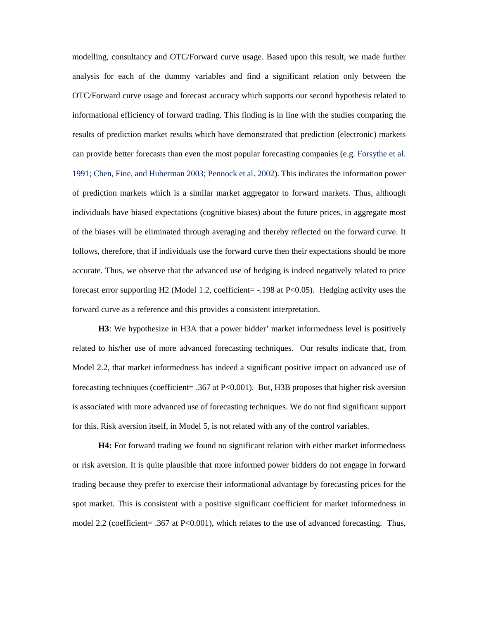modelling, consultancy and OTC/Forward curve usage. Based upon this result, we made further analysis for each of the dummy variables and find a significant relation only between the OTC/Forward curve usage and forecast accuracy which supports our second hypothesis related to informational efficiency of forward trading. This finding is in line with the studies comparing the results of prediction market results which have demonstrated that prediction (electronic) markets can provide better forecasts than even the most popular forecasting companies (e.g. Forsythe et al. 1991; Chen, Fine, and Huberman 2003; Pennock et al. 2002). This indicates the information power of prediction markets which is a similar market aggregator to forward markets. Thus, although individuals have biased expectations (cognitive biases) about the future prices, in aggregate most of the biases will be eliminated through averaging and thereby reflected on the forward curve. It follows, therefore, that if individuals use the forward curve then their expectations should be more accurate. Thus, we observe that the advanced use of hedging is indeed negatively related to price forecast error supporting H2 (Model 1.2, coefficient= -.198 at P<0.05). Hedging activity uses the forward curve as a reference and this provides a consistent interpretation.

**H3**: We hypothesize in H3A that a power bidder' market informedness level is positively related to his/her use of more advanced forecasting techniques. Our results indicate that, from Model 2.2, that market informedness has indeed a significant positive impact on advanced use of forecasting techniques (coefficient= .367 at P<0.001). But, H3B proposes that higher risk aversion is associated with more advanced use of forecasting techniques. We do not find significant support for this. Risk aversion itself, in Model 5, is not related with any of the control variables.

**H4:** For forward trading we found no significant relation with either market informedness or risk aversion. It is quite plausible that more informed power bidders do not engage in forward trading because they prefer to exercise their informational advantage by forecasting prices for the spot market. This is consistent with a positive significant coefficient for market informedness in model 2.2 (coefficient= .367 at P<0.001), which relates to the use of advanced forecasting. Thus,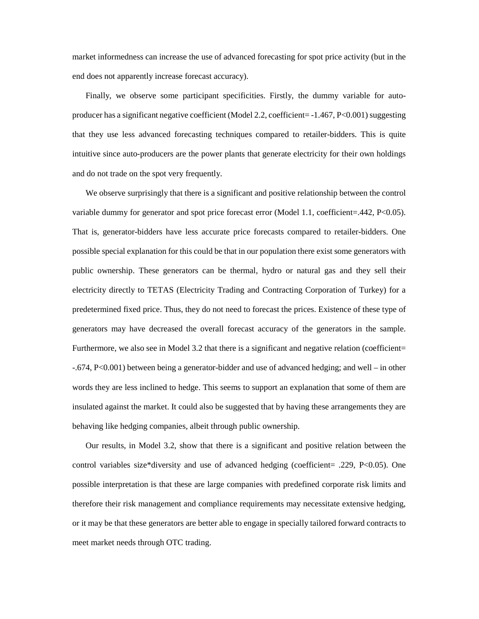market informedness can increase the use of advanced forecasting for spot price activity (but in the end does not apparently increase forecast accuracy).

Finally, we observe some participant specificities. Firstly, the dummy variable for autoproducer has a significant negative coefficient (Model 2.2, coefficient = -1.467, P<0.001) suggesting that they use less advanced forecasting techniques compared to retailer-bidders. This is quite intuitive since auto-producers are the power plants that generate electricity for their own holdings and do not trade on the spot very frequently.

We observe surprisingly that there is a significant and positive relationship between the control variable dummy for generator and spot price forecast error (Model 1.1, coefficient=.442, P<0.05). That is, generator-bidders have less accurate price forecasts compared to retailer-bidders. One possible special explanation for this could be that in our population there exist some generators with public ownership. These generators can be thermal, hydro or natural gas and they sell their electricity directly to TETAS (Electricity Trading and Contracting Corporation of Turkey) for a predetermined fixed price. Thus, they do not need to forecast the prices. Existence of these type of generators may have decreased the overall forecast accuracy of the generators in the sample. Furthermore, we also see in Model 3.2 that there is a significant and negative relation (coefficient= -.674, P<0.001) between being a generator-bidder and use of advanced hedging; and well – in other words they are less inclined to hedge. This seems to support an explanation that some of them are insulated against the market. It could also be suggested that by having these arrangements they are behaving like hedging companies, albeit through public ownership.

Our results, in Model 3.2, show that there is a significant and positive relation between the control variables size\*diversity and use of advanced hedging (coefficient= .229, P<0.05). One possible interpretation is that these are large companies with predefined corporate risk limits and therefore their risk management and compliance requirements may necessitate extensive hedging, or it may be that these generators are better able to engage in specially tailored forward contracts to meet market needs through OTC trading.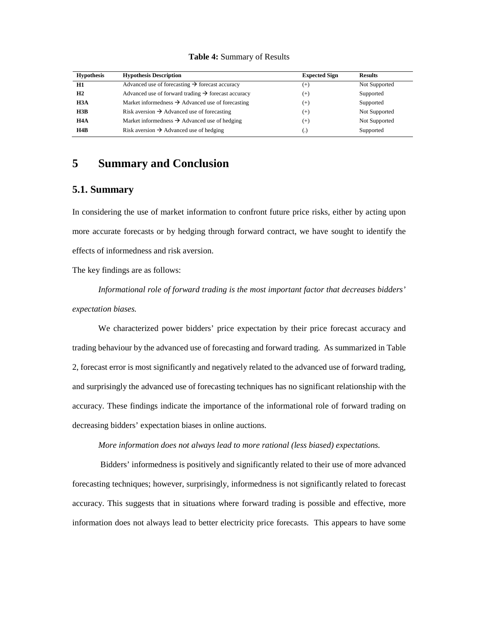| <b>Table 4: Summary of Results</b> |  |
|------------------------------------|--|
|------------------------------------|--|

| <b>Hypothesis</b> | <b>Hypothesis Description</b>                                   | <b>Expected Sign</b> | <b>Results</b> |
|-------------------|-----------------------------------------------------------------|----------------------|----------------|
| H1                | Advanced use of forecasting $\rightarrow$ forecast accuracy     | .+)                  | Not Supported  |
| H2                | Advanced use of forward trading $\rightarrow$ forecast accuracy | $^{(+)}$             | Supported      |
| H3A               | Market informedness $\rightarrow$ Advanced use of forecasting   | $(+)$                | Supported      |
| H3B               | Risk aversion $\rightarrow$ Advanced use of forecasting         | $(+)$                | Not Supported  |
| H4A               | Market informedness $\rightarrow$ Advanced use of hedging       | $(+)$                | Not Supported  |
| H4B               | Risk aversion $\rightarrow$ Advanced use of hedging             | $\ldots$             | Supported      |

## **5 Summary and Conclusion**

#### **5.1. Summary**

In considering the use of market information to confront future price risks, either by acting upon more accurate forecasts or by hedging through forward contract, we have sought to identify the effects of informedness and risk aversion.

The key findings are as follows:

*Informational role of forward trading is the most important factor that decreases bidders' expectation biases.* 

We characterized power bidders' price expectation by their price forecast accuracy and trading behaviour by the advanced use of forecasting and forward trading. As summarized in Table 2, forecast error is most significantly and negatively related to the advanced use of forward trading, and surprisingly the advanced use of forecasting techniques has no significant relationship with the accuracy. These findings indicate the importance of the informational role of forward trading on decreasing bidders' expectation biases in online auctions.

*More information does not always lead to more rational (less biased) expectations.*

 Bidders' informedness is positively and significantly related to their use of more advanced forecasting techniques; however, surprisingly, informedness is not significantly related to forecast accuracy. This suggests that in situations where forward trading is possible and effective, more information does not always lead to better electricity price forecasts. This appears to have some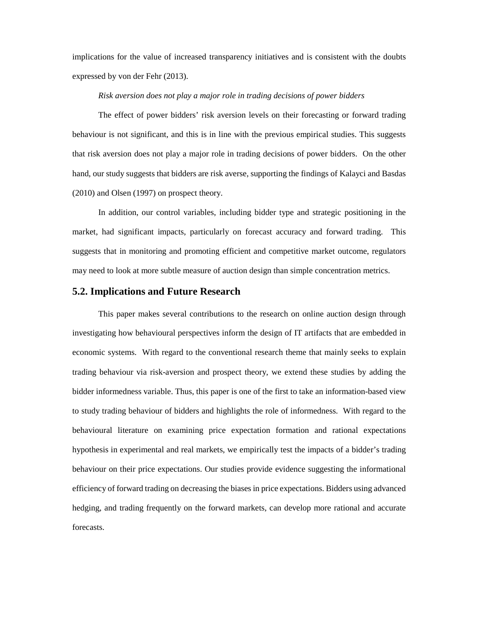implications for the value of increased transparency initiatives and is consistent with the doubts expressed by von der Fehr (2013).

*Risk aversion does not play a major role in trading decisions of power bidders* 

The effect of power bidders' risk aversion levels on their forecasting or forward trading behaviour is not significant, and this is in line with the previous empirical studies. This suggests that risk aversion does not play a major role in trading decisions of power bidders. On the other hand, our study suggests that bidders are risk averse, supporting the findings of Kalayci and Basdas (2010) and Olsen (1997) on prospect theory.

In addition, our control variables, including bidder type and strategic positioning in the market, had significant impacts, particularly on forecast accuracy and forward trading. This suggests that in monitoring and promoting efficient and competitive market outcome, regulators may need to look at more subtle measure of auction design than simple concentration metrics.

#### **5.2. Implications and Future Research**

This paper makes several contributions to the research on online auction design through investigating how behavioural perspectives inform the design of IT artifacts that are embedded in economic systems. With regard to the conventional research theme that mainly seeks to explain trading behaviour via risk-aversion and prospect theory, we extend these studies by adding the bidder informedness variable. Thus, this paper is one of the first to take an information-based view to study trading behaviour of bidders and highlights the role of informedness. With regard to the behavioural literature on examining price expectation formation and rational expectations hypothesis in experimental and real markets, we empirically test the impacts of a bidder's trading behaviour on their price expectations. Our studies provide evidence suggesting the informational efficiency of forward trading on decreasing the biases in price expectations. Bidders using advanced hedging, and trading frequently on the forward markets, can develop more rational and accurate forecasts.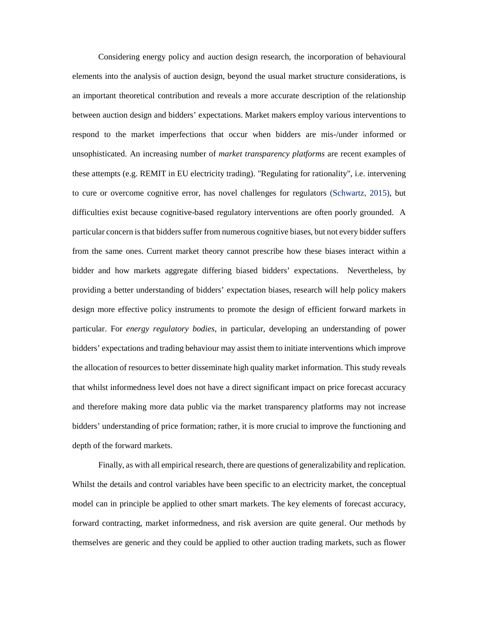Considering energy policy and auction design research, the incorporation of behavioural elements into the analysis of auction design, beyond the usual market structure considerations, is an important theoretical contribution and reveals a more accurate description of the relationship between auction design and bidders' expectations. Market makers employ various interventions to respond to the market imperfections that occur when bidders are mis-/under informed or unsophisticated. An increasing number of *market transparency platforms* are recent examples of these attempts (e.g. REMIT in EU electricity trading). "Regulating for rationality", i.e. intervening to cure or overcome cognitive error, has novel challenges for regulators (Schwartz, 2015), but difficulties exist because cognitive-based regulatory interventions are often poorly grounded. A particular concern is that bidders suffer from numerous cognitive biases, but not every bidder suffers from the same ones. Current market theory cannot prescribe how these biases interact within a bidder and how markets aggregate differing biased bidders' expectations. Nevertheless, by providing a better understanding of bidders' expectation biases, research will help policy makers design more effective policy instruments to promote the design of efficient forward markets in particular. For *energy regulatory bodies*, in particular, developing an understanding of power bidders' expectations and trading behaviour may assist them to initiate interventions which improve the allocation of resources to better disseminate high quality market information. This study reveals that whilst informedness level does not have a direct significant impact on price forecast accuracy and therefore making more data public via the market transparency platforms may not increase bidders' understanding of price formation; rather, it is more crucial to improve the functioning and depth of the forward markets.

Finally, as with all empirical research, there are questions of generalizability and replication. Whilst the details and control variables have been specific to an electricity market, the conceptual model can in principle be applied to other smart markets. The key elements of forecast accuracy, forward contracting, market informedness, and risk aversion are quite general. Our methods by themselves are generic and they could be applied to other auction trading markets, such as flower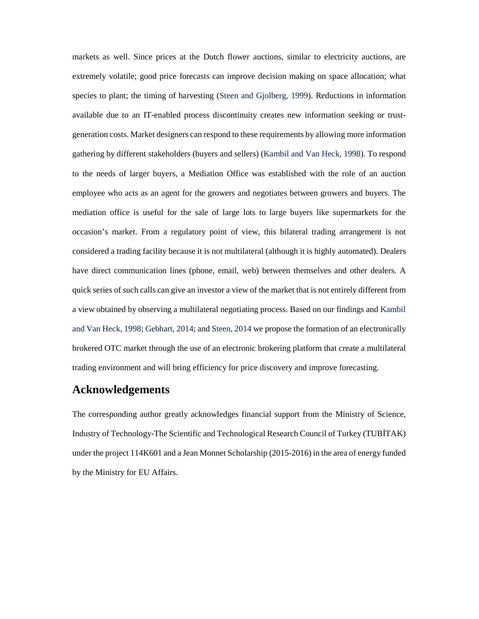markets as well. Since prices at the Dutch flower auctions, similar to electricity auctions, are extremely volatile; good price forecasts can improve decision making on space allocation; what species to plant; the timing of harvesting (Steen and Gjolberg, 1999). Reductions in information available due to an IT-enabled process discontinuity creates new information seeking or trustgeneration costs. Market designers can respond to these requirements by allowing more information gathering by different stakeholders (buyers and sellers) (Kambil and Van Heck, 1998). To respond to the needs of larger buyers, a Mediation Office was established with the role of an auction employee who acts as an agent for the growers and negotiates between growers and buyers. The mediation office is useful for the sale of large lots to large buyers like supermarkets for the occasion's market. From a regulatory point of view, this bilateral trading arrangement is not considered a trading facility because it is not multilateral (although it is highly automated). Dealers have direct communication lines (phone, email, web) between themselves and other dealers. A quick series of such calls can give an investor a view of the market that is not entirely different from a view obtained by observing a multilateral negotiating process. Based on our findings and Kambil and Van Heck, 1998; Gebhart, 2014; and Steen, 2014 we propose the formation of an electronically brokered OTC market through the use of an electronic brokering platform that create a multilateral trading environment and will bring efficiency for price discovery and improve forecasting.

## **Acknowledgements**

The corresponding author greatly acknowledges financial support from the Ministry of Science, Industry of Technology-The Scientific and Technological Research Council of Turkey (TUBİTAK) under the project 114K601 and a Jean Monnet Scholarship (2015-2016) in the area of energy funded by the Ministry for EU Affairs.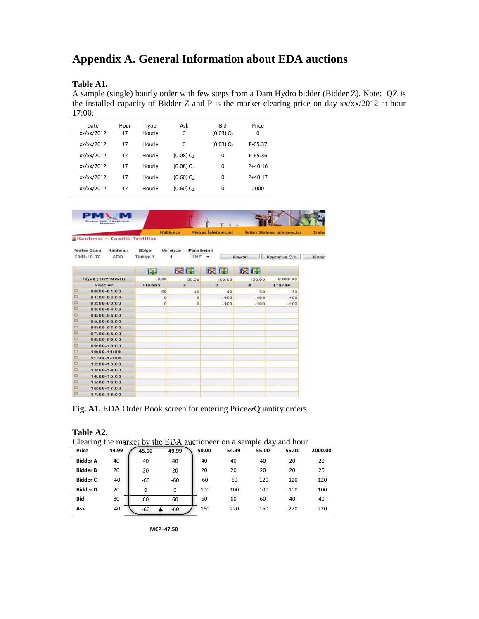# **Appendix A. General Information about EDA auctions**

#### **Table A1.**

A sample (single) hourly order with few steps from a Dam Hydro bidder (Bidder Z). Note: QZ is the installed capacity of Bidder Z and P is the market clearing price on day xx/xx/2012 at hour 17:00.

| Date       | Hour | Type   | Ask                     | <b>Bid</b>  | Price       |
|------------|------|--------|-------------------------|-------------|-------------|
| xx/xx/2012 | 17   | Hourly | 0                       | $(0.03)$ Qz | 0           |
| xx/xx/2012 | 17   | Hourly | 0                       | $(0.03)$ Qz | P-65.37     |
| xx/xx/2012 | 17   | Hourly | $(0.08)$ Q <sub>z</sub> | 0           | P-65.36     |
| xx/xx/2012 | 17   | Hourly | (0.08) Q <sub>7</sub>   | $\Omega$    | $P + 40.16$ |
| xx/xx/2012 | 17   | Hourly | $(0.60)$ Q <sub>z</sub> | $\Omega$    | $P + 40.17$ |
| xx/xx/2012 | 17   | Hourly | $(0.60)$ Q <sub>z</sub> | $\Omega$    | 2000        |

| <b>PMLM</b><br><b>Bisyana Mall Ustabluma</b> |  | Ł<br>. . |
|----------------------------------------------|--|----------|
|                                              |  |          |

Katılımcı - Saatlik Teklifler

**COST** 

|           | 2011-10-07<br>ADO. | Türkiye 1 | TRY            | ٠                       | Kaydet | Kaydet ve Çık |
|-----------|--------------------|-----------|----------------|-------------------------|--------|---------------|
|           |                    | IT.       | 区库             | 反耳                      | 反耳     |               |
|           | Fiyat (TRY/MWH)    | 0.00      | 50,00          | 100.00                  | 150.00 | 2,000,00      |
|           | Saatler            | Ftaban    | $\overline{2}$ | $\overline{\mathbf{3}}$ | 4      | Ftavan        |
| O         | 00:00.01:00        | 50        | 40             | 40                      | 30     | 30            |
| $\sigma$  | 01:00-02:00        | $\circ$   | $\circ$        | $-100$                  | $-100$ | $-100$        |
| $\circ$   | 02:00-03:00        | $\Omega$  | $\circ$        | $-100$                  | $-100$ | $-100$        |
| o         | 03:00-04:00        |           |                |                         |        |               |
| $\circ$   | 04:00-05:00        |           |                |                         |        |               |
| O         | 05:00-06:00        |           |                |                         |        |               |
| C3        | 06:00-07:00        |           |                |                         |        |               |
| o         | 07:00-08:00        |           |                |                         |        |               |
| O         | 08:00-09:00        |           |                |                         |        |               |
| O         | 09:00-10:00        |           |                |                         |        |               |
| o         | 10:00-11:00        |           |                |                         |        |               |
| o         | 11:00-12:00        |           |                |                         |        |               |
| <b>Z3</b> | 12:00-13:00        |           |                |                         |        |               |
| $\circ$   | 13:00-14:00        |           |                |                         |        |               |
| $\circ$   | 14:00-15:00        |           |                |                         |        |               |
| o         | 15:00-16:00        |           |                |                         |        |               |
| <b>CS</b> | 16:00-17:00        |           |                |                         |        |               |
| <b>CS</b> | 17:00-18:00        |           |                |                         |        |               |

**Fig. A1.** EDA Order Book screen for entering Price&Quantity orders

#### **Table A2.**

Clearing the market by the EDA auctioneer on a sample day and hour

| Price           | 44.99 | 45.00    | 49.99 | 50.00  | 54.99  | 55.00  | 55.01  | 2000.00 |
|-----------------|-------|----------|-------|--------|--------|--------|--------|---------|
| <b>Bidder A</b> | 40    | 40       | 40    | 40     | 40     | 40     | 20     | 20      |
| <b>Bidder B</b> | 20    | 20       | 20    | 20     | 20     | 20     | 20     | 20      |
| <b>Bidder C</b> | $-40$ | $-60$    | $-60$ | $-60$  | $-60$  | $-120$ | $-120$ | $-120$  |
| <b>Bidder D</b> | 20    | $\bf{0}$ | 0     | $-100$ | $-100$ | $-100$ | $-100$ | $-100$  |
| <b>Bid</b>      | 80    | 60       | 60    | 60     | 60     | 60     | 40     | 40      |
| Ask             | $-40$ | $-60$    | $-60$ | $-160$ | $-220$ | $-160$ | $-220$ | $-220$  |
|                 |       |          |       |        |        |        |        |         |

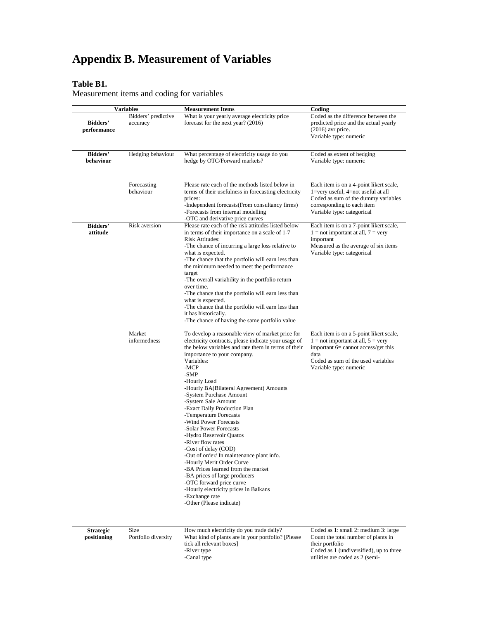# **Appendix B. Measurement of Variables**

## **Table B1.**

Measurement items and coding for variables

|                         | <b>Variables</b>                | Coding                                                                                                                                                                                                                                                                                                                                                                                                                                                                                                                                                                                                                                                                                                                                                                                             |                                                                                                                                                                                                  |  |
|-------------------------|---------------------------------|----------------------------------------------------------------------------------------------------------------------------------------------------------------------------------------------------------------------------------------------------------------------------------------------------------------------------------------------------------------------------------------------------------------------------------------------------------------------------------------------------------------------------------------------------------------------------------------------------------------------------------------------------------------------------------------------------------------------------------------------------------------------------------------------------|--------------------------------------------------------------------------------------------------------------------------------------------------------------------------------------------------|--|
| Bidders'<br>performance | Bidders' predictive<br>accuracy | <b>Measurement Items</b><br>What is your yearly average electricity price<br>forecast for the next year? (2016)                                                                                                                                                                                                                                                                                                                                                                                                                                                                                                                                                                                                                                                                                    | Coded as the difference between the<br>predicted price and the actual yearly<br>$(2016)$ avr price.<br>Variable type: numeric                                                                    |  |
| Bidders'<br>behaviour   | Hedging behaviour               | What percentage of electricity usage do you<br>hedge by OTC/Forward markets?                                                                                                                                                                                                                                                                                                                                                                                                                                                                                                                                                                                                                                                                                                                       | Coded as extent of hedging<br>Variable type: numeric                                                                                                                                             |  |
|                         | Forecasting<br>behaviour        | Please rate each of the methods listed below in<br>terms of their usefulness in forecasting electricity<br>prices:<br>-Independent forecasts (From consultancy firms)<br>-Forecasts from internal modelling<br>-OTC and derivative price curves                                                                                                                                                                                                                                                                                                                                                                                                                                                                                                                                                    | Each item is on a 4-point likert scale,<br>1=very useful, 4=not useful at all<br>Coded as sum of the dummy variables<br>corresponding to each item<br>Variable type: categorical                 |  |
| Bidders'<br>attitude    | Risk aversion                   | Please rate each of the risk attitudes listed below<br>in terms of their importance on a scale of 1-7<br><b>Risk Attitudes:</b><br>-The chance of incurring a large loss relative to<br>what is expected.<br>-The chance that the portfolio will earn less than<br>the minimum needed to meet the performance<br>target<br>-The overall variability in the portfolio return<br>over time.<br>-The chance that the portfolio will earn less than<br>what is expected.<br>-The chance that the portfolio will earn less than<br>it has historically.<br>-The chance of having the same portfolio value                                                                                                                                                                                               | Each item is on a 7-point likert scale,<br>$1 = not important at all, 7 = very$<br>important<br>Measured as the average of six items<br>Variable type: categorical                               |  |
|                         | Market<br>informedness          | To develop a reasonable view of market price for<br>electricity contracts, please indicate your usage of<br>the below variables and rate them in terms of their<br>importance to your company.<br>Variables:<br>-MCP<br>-SMP<br>-Hourly Load<br>-Hourly BA(Bilateral Agreement) Amounts<br>-System Purchase Amount<br>-System Sale Amount<br>-Exact Daily Production Plan<br>-Temperature Forecasts<br>-Wind Power Forecasts<br>-Solar Power Forecasts<br>-Hydro Reservoir Quatos<br>-River flow rates<br>-Cost of delay (COD)<br>-Out of order/ In maintenance plant info.<br>-Hourly Merit Order Curve<br>-BA Prices learned from the market<br>-BA prices of large producers<br>-OTC forward price curve<br>-Hourly electricity prices in Balkans<br>-Exchange rate<br>-Other (Please indicate) | Each item is on a 5-point likert scale,<br>$1 = not important at all, 5 = very$<br>important $6=$ cannot access/get this<br>data<br>Coded as sum of the used variables<br>Variable type: numeric |  |

| <b>Strategic</b> | Size                | How much electricity do you trade daily?            | Coded as 1: small 2: medium 3: large    |
|------------------|---------------------|-----------------------------------------------------|-----------------------------------------|
| positioning      | Portfolio diversity | What kind of plants are in your portfolio? [Please] | Count the total number of plants in     |
|                  |                     | tick all relevant boxes]                            | their portfolio                         |
|                  |                     | -River type                                         | Coded as 1 (undiversified), up to three |
|                  |                     | -Canal type                                         | utilities are coded as 2 (semi-         |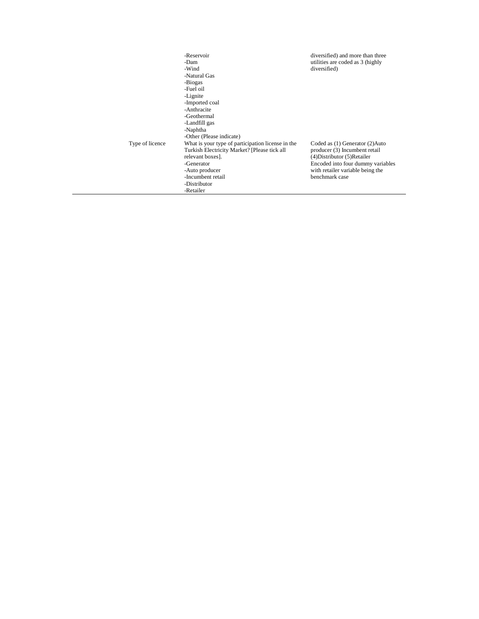|                 | -Reservoir                                        | diversified) and more than three  |
|-----------------|---------------------------------------------------|-----------------------------------|
|                 | -Dam                                              | utilities are coded as 3 (highly  |
|                 | -Wind                                             | diversified)                      |
|                 | -Natural Gas                                      |                                   |
|                 | -Biogas                                           |                                   |
|                 | -Fuel oil                                         |                                   |
|                 | -Lignite                                          |                                   |
|                 | -Imported coal                                    |                                   |
|                 | -Anthracite                                       |                                   |
|                 | -Geothermal                                       |                                   |
|                 | -Landfill gas                                     |                                   |
|                 | -Naphtha                                          |                                   |
|                 | -Other (Please indicate)                          |                                   |
| Type of licence | What is your type of participation license in the | Coded as (1) Generator (2) Auto   |
|                 | Turkish Electricity Market? [Please tick all      | producer (3) Incumbent retail     |
|                 | relevant boxes].                                  | (4) Distributor (5) Retailer      |
|                 | -Generator                                        | Encoded into four dummy variables |
|                 | -Auto producer                                    | with retailer variable being the  |
|                 | -Incumbent retail                                 | benchmark case                    |
|                 | -Distributor                                      |                                   |
|                 | -Retailer                                         |                                   |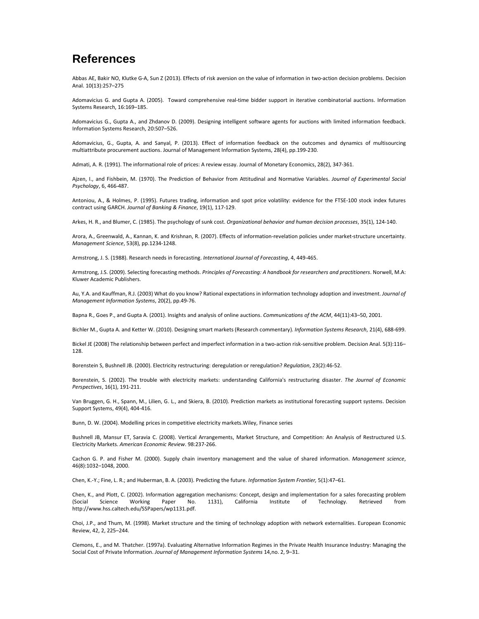# **References**

Abbas AE, Bakir NO, Klutke G-A, Sun Z (2013). Effects of risk aversion on the value of information in two-action decision problems. Decision Anal. 10(13):257–275

Adomavicius G. and Gupta A. (2005). Toward comprehensive real-time bidder support in iterative combinatorial auctions. Information Systems Research, 16:169–185.

Adomavicius G., Gupta A., and Zhdanov D. (2009). Designing intelligent software agents for auctions with limited information feedback. Information Systems Research, 20:507–526.

Adomavicius, G., Gupta, A. and Sanyal, P. (2013). Effect of information feedback on the outcomes and dynamics of multisourcing multiattribute procurement auctions. Journal of Management Information Systems, 28(4), pp.199-230.

Admati, A. R. (1991). The informational role of prices: A review essay. Journal of Monetary Economics, 28(2), 347-361.

Ajzen, I., and Fishbein, M. (1970). The Prediction of Behavior from Attitudinal and Normative Variables. *Journal of Experimental Social Psychology*, 6, 466-487.

Antoniou, A., & Holmes, P. (1995). Futures trading, information and spot price volatility: evidence for the FTSE-100 stock index futures contract using GARCH. *Journal of Banking & Finance*, 19(1), 117-129.

Arkes, H. R., and Blumer, C. (1985). The psychology of sunk cost. *Organizational behavior and human decision processes*, 35(1), 124-140.

Arora, A., Greenwald, A., Kannan, K. and Krishnan, R. (2007). Effects of information-revelation policies under market-structure uncertainty. *Management Science*, 53(8), pp.1234-1248.

Armstrong, J. S. (1988). Research needs in forecasting. *International Journal of Forecasting*, 4, 449-465.

Armstrong, J.S. (2009). Selecting forecasting methods. *Principles of Forecasting: A handbook for researchers and practitioners*. Norwell, M.A: Kluwer Academic Publishers.

Au, Y.A. and Kauffman, R.J. (2003) What do you know? Rational expectations in information technology adoption and investment. *Journal of Management Information Systems*, 20(2), pp.49-76.

Bapna R., Goes P., and Gupta A. (2001). Insights and analysis of online auctions. *Communications of the ACM*, 44(11):43–50, 2001.

Bichler M., Gupta A. and Ketter W. (2010). Designing smart markets (Research commentary). *Information Systems Research*, 21(4), 688-699.

Bickel JE (2008) The relationship between perfect and imperfect information in a two-action risk-sensitive problem. Decision Anal. 5(3):116– 128.

Borenstein S, Bushnell JB. (2000). Electricity restructuring: deregulation or reregulation? *Regulation*, 23(2):46-52.

Borenstein, S. (2002). The trouble with electricity markets: understanding California's restructuring disaster. *The Journal of Economic Perspectives*, 16(1), 191-211.

Van Bruggen, G. H., Spann, M., Lilien, G. L., and Skiera, B. (2010). Prediction markets as institutional forecasting support systems. Decision Support Systems, 49(4), 404-416.

Bunn, D. W. (2004). Modelling prices in competitive electricity markets.Wiley, Finance series

Bushnell JB, Mansur ET, Saravia C. (2008). Vertical Arrangements, Market Structure, and Competition: An Analysis of Restructured U.S. Electricity Markets. *American Economic Review*. 98:237-266.

Cachon G. P. and Fisher M. (2000). Supply chain inventory management and the value of shared information. *Management science*, 46(8):1032–1048, 2000.

Chen, K.-Y.; Fine, L. R.; and Huberman, B. A. (2003). Predicting the future. *Information System Frontier,* 5(1):47–61.

Chen, K., and Plott, C. (2002). Information aggregation mechanisms: Concept, design and implementation for a sales forecasting problem<br>(Social Science Working Paper No. 1131), California Institute of Technology. Retrieved (Social Science Working Paper No. 1131), California Institute of Technology. Retrieved from http://www.hss.caltech.edu/SSPapers/wp1131.pdf.

Choi, J.P., and Thum, M. (1998). Market structure and the timing of technology adoption with network externalities. European Economic Review, 42, 2, 225–244.

Clemons, E., and M. Thatcher. (1997a). Evaluating Alternative Information Regimes in the Private Health Insurance Industry: Managing the Social Cost of Private Information. *Journal of Management Information Systems* 14,no. 2, 9–31.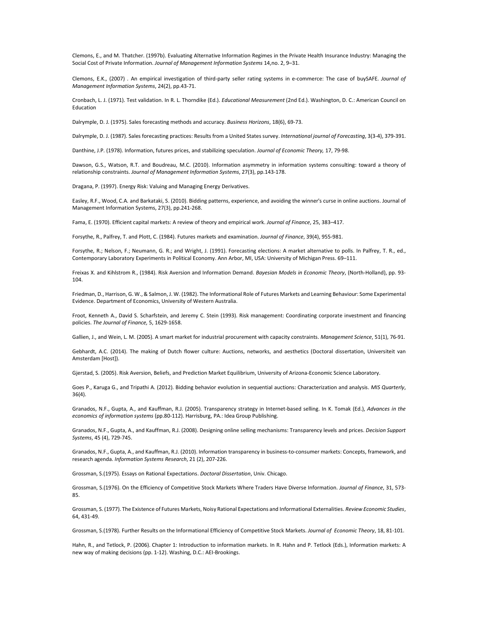Clemons, E., and M. Thatcher. (1997b). Evaluating Alternative Information Regimes in the Private Health Insurance Industry: Managing the Social Cost of Private Information. *Journal of Management Information Systems* 14,no. 2, 9–31.

Clemons, E.K., (2007) . An empirical investigation of third-party seller rating systems in e-commerce: The case of buySAFE*. Journal of Management Information Systems*, 24(2), pp.43-71.

Cronbach, L. J. (1971). Test validation. In R. L. Thorndike (Ed.). *Educational Measurement* (2nd Ed.). Washington, D. C.: American Council on Education

Dalrymple, D. J. (1975). Sales forecasting methods and accuracy. *Business Horizons*, 18(6), 69-73.

Dalrymple, D. J. (1987). Sales forecasting practices: Results from a United States survey. *International journal of Forecasting*, 3(3-4), 379-391.

Danthine, J.P. (1978). Information, futures prices, and stabilizing speculation. *Journal of Economic Theory,* 17, 79-98.

Dawson, G.S., Watson, R.T. and Boudreau, M.C. (2010). Information asymmetry in information systems consulting: toward a theory of relationship constraints. *Journal of Management Information Systems*, 27(3), pp.143-178.

Dragana, P. (1997). Energy Risk: Valuing and Managing Energy Derivatives.

Easley, R.F., Wood, C.A. and Barkataki, S. (2010). Bidding patterns, experience, and avoiding the winner's curse in online auctions. Journal of Management Information Systems, 27(3), pp.241-268.

Fama, E. (1970). Efficient capital markets: A review of theory and empirical work. *Journal of Finance*, 25, 383–417.

Forsythe, R., Palfrey, T. and Plott, C. (1984). Futures markets and examination. *Journal of Finance*, 39(4), 955-981.

Forsythe, R.; Nelson, F.; Neumann, G. R.; and Wright, J. (1991). Forecasting elections: A market alternative to polls. In Palfrey, T. R., ed., Contemporary Laboratory Experiments in Political Economy. Ann Arbor, MI, USA: University of Michigan Press. 69–111.

Freixas X. and Kihlstrom R., (1984). Risk Aversion and Information Demand. *Bayesian Models in Economic Theory*, (North-Holland), pp. 93- 104.

Friedman, D., Harrison, G. W., & Salmon, J. W. (1982). The Informational Role of Futures Markets and Learning Behaviour: Some Experimental Evidence. Department of Economics, University of Western Australia.

Froot, Kenneth A., David S. Scharfstein, and Jeremy C. Stein (1993). Risk management: Coordinating corporate investment and financing policies. *The Journal of Finance,* 5, 1629-1658.

Gallien, J., and Wein, L. M. (2005). A smart market for industrial procurement with capacity constraints. *Management Science*, 51(1), 76-91.

Gebhardt, A.C. (2014). The making of Dutch flower culture: Auctions, networks, and aesthetics (Doctoral dissertation, Universiteit van Amsterdam [Host]).

Gjerstad, S. (2005). Risk Aversion, Beliefs, and Prediction Market Equilibrium, University of Arizona-Economic Science Laboratory.

Goes P., Karuga G., and Tripathi A. (2012). Bidding behavior evolution in sequential auctions: Characterization and analysis. *MIS Quarterly*, 36(4).

Granados, N.F., Gupta, A., and Kauffman, R.J. (2005). Transparency strategy in Internet-based selling. In K. Tomak (Ed.), *Advances in the economics of information systems* (pp.80-112). Harrisburg, PA.: Idea Group Publishing.

Granados, N.F., Gupta, A., and Kauffman, R.J. (2008). Designing online selling mechanisms: Transparency levels and prices. *Decision Support Systems*, 45 (4), 729-745.

Granados, N.F., Gupta, A., and Kauffman, R.J. (2010). Information transparency in business-to-consumer markets: Concepts, framework, and research agenda. *Information Systems Research*, 21 (2), 207-226.

Grossman, S.(1975). Essays on Rational Expectations. *Doctoral Dissertation*, Univ. Chicago.

Grossman, S.(1976). On the Efficiency of Competitive Stock Markets Where Traders Have Diverse Information. *Journal of Finance*, 31, 573- 85.

Grossman, S. (1977). The Existence of Futures Markets, Noisy Rational Expectations and Informational Externalities. *Review Economic Studies*, 64, 431-49.

Grossman, S.(1978). Further Results on the Informational Efficiency of Competitive Stock Markets. *Journal of Economic Theory*, 18, 81-101.

Hahn, R., and Tetlock, P. (2006). Chapter 1: Introduction to information markets. In R. Hahn and P. Tetlock (Eds.), Information markets: A new way of making decisions (pp. 1-12). Washing, D.C.: AEI-Brookings.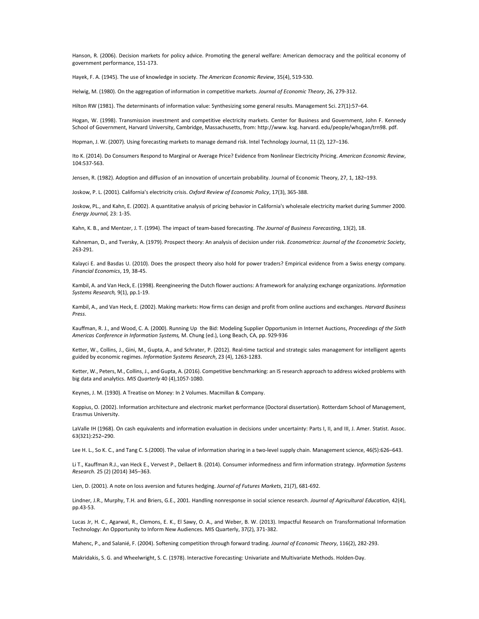Hanson, R. (2006). Decision markets for policy advice. Promoting the general welfare: American democracy and the political economy of government performance, 151-173.

Hayek, F. A. (1945). The use of knowledge in society. *The American Economic Review*, 35(4), 519-530.

Helwig, M. (1980). On the aggregation of information in competitive markets. *Journal of Economic Theory*, 26, 279-312.

Hilton RW (1981). The determinants of information value: Synthesizing some general results. Management Sci. 27(1):57–64.

Hogan, W. (1998). Transmission investment and competitive electricity markets. Center for Business and Government, John F. Kennedy School of Government, Harvard University, Cambridge, Massachusetts, from: http://www. ksg. harvard. edu/people/whogan/trn98. pdf.

Hopman, J. W. (2007). Using forecasting markets to manage demand risk. Intel Technology Journal, 11 (2), 127–136.

Ito K. (2014). Do Consumers Respond to Marginal or Average Price? Evidence from Nonlinear Electricity Pricing. *American Economic Review*, 104:537-563.

Jensen, R. (1982). Adoption and diffusion of an innovation of uncertain probability. Journal of Economic Theory, 27, 1, 182–193.

Joskow, P. L. (2001). California's electricity crisis. *Oxford Review of Economic Policy*, 17(3), 365-388.

Joskow, PL., and Kahn, E. (2002). A quantitative analysis of pricing behavior in California's wholesale electricity market during Summer 2000. *Energy Journal,* 23: 1-35.

Kahn, K. B., and Mentzer, J. T. (1994). The impact of team-based forecasting. *The Journal of Business Forecasting*, 13(2), 18.

Kahneman, D., and Tversky, A. (1979). Prospect theory: An analysis of decision under risk. *Econometrica*: *Journal of the Econometric Society*, 263-291.

Kalayci E. and Basdas U. (2010). Does the prospect theory also hold for power traders? Empirical evidence from a Swiss energy company*. Financial Economics*, 19, 38-45.

Kambil, A. and Van Heck, E. (1998). Reengineering the Dutch flower auctions: A framework for analyzing exchange organizations. *Information Systems Research,* 9(1), pp.1-19.

Kambil, A., and Van Heck, E. (2002). Making markets: How firms can design and profit from online auctions and exchanges. *Harvard Business Press*.

Kauffman, R. J., and Wood, C. A. (2000). Running Up the Bid: Modeling Supplier Opportunism in Internet Auctions, *Proceedings of the Sixth Americas Conference in Information Systems,* M. Chung (ed.), Long Beach, CA, pp. 929-936

Ketter, W., Collins, J., Gini, M., Gupta, A., and Schrater, P. (2012). Real-time tactical and strategic sales management for intelligent agents guided by economic regimes. *Information Systems Research*, 23 (4), 1263-1283.

Ketter, W., Peters, M., Collins, J., and Gupta, A. (2016). Competitive benchmarking: an IS research approach to address wicked problems with big data and analytics. *MIS Quarterly* 40 (4),1057-1080.

Keynes, J. M. (1930). A Treatise on Money: In 2 Volumes. Macmillan & Company.

Koppius, O. (2002). Information architecture and electronic market performance (Doctoral dissertation). Rotterdam School of Management, Erasmus University.

LaValle IH (1968). On cash equivalents and information evaluation in decisions under uncertainty: Parts I, II, and III, J. Amer. Statist. Assoc. 63(321):252–290.

Lee H. L., So K. C., and Tang C. S.(2000). The value of information sharing in a two-level supply chain. Management science, 46(5):626–643.

Li T., Kauffman R.J., van Heck E., Vervest P., Dellaert B. (2014). Consumer informedness and firm information strategy. *Information Systems Research.* 25 (2) (2014) 345–363.

Lien, D. (2001). A note on loss aversion and futures hedging. *Journal of Futures Markets*, 21(7), 681-692.

Lindner, J.R., Murphy, T.H. and Briers, G.E., 2001. Handling nonresponse in social science research. *Journal of Agricultural Education*, 42(4), pp.43-53.

Lucas Jr, H. C., Agarwal, R., Clemons, E. K., El Sawy, O. A., and Weber, B. W. (2013). Impactful Research on Transformational Information Technology: An Opportunity to Inform New Audiences. MIS Quarterly, 37(2), 371-382.

Mahenc, P., and Salanié, F. (2004). Softening competition through forward trading. *Journal of Economic Theory*, 116(2), 282-293.

Makridakis, S. G. and Wheelwright, S. C. (1978). Interactive Forecasting: Univariate and Multivariate Methods. Holden-Day.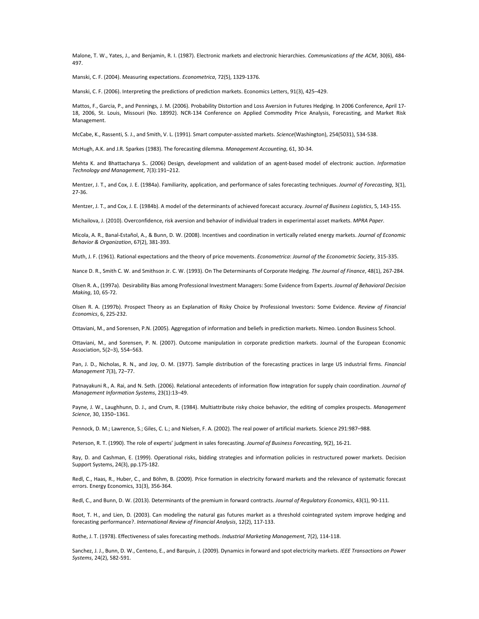Malone, T. W., Yates, J., and Benjamin, R. I. (1987). Electronic markets and electronic hierarchies. *Communications of the ACM*, 30(6), 484- 497.

Manski, C. F. (2004). Measuring expectations. *Econometrica*, 72(5), 1329-1376.

Manski, C. F. (2006). Interpreting the predictions of prediction markets. Economics Letters, 91(3), 425–429.

Mattos, F., Garcia, P., and Pennings, J. M. (2006). Probability Distortion and Loss Aversion in Futures Hedging. In 2006 Conference, April 17-18, 2006, St. Louis, Missouri (No. 18992). NCR-134 Conference on Applied Commodity Price Analysis, Forecasting, and Market Risk Management.

McCabe, K., Rassenti, S. J., and Smith, V. L. (1991). Smart computer-assisted markets. *Science*(Washington), 254(5031), 534-538.

McHugh, A.K. and J.R. Sparkes (1983). The forecasting dilemma. *Management Accounting*, 61, 30-34.

Mehta K. and Bhattacharya S.. (2006) Design, development and validation of an agent-based model of electronic auction. *Information Technology and Management*, 7(3):191–212.

Mentzer, J. T., and Cox, J. E. (1984a). Familiarity, application, and performance of sales forecasting techniques. *Journal of Forecasting*, 3(1), 27-36.

Mentzer, J. T., and Cox, J. E. (1984b). A model of the determinants of achieved forecast accuracy. *Journal of Business Logistics*, 5, 143-155.

Michailova, J. (2010). Overconfidence, risk aversion and behavior of individual traders in experimental asset markets. *MPRA Paper*.

Micola, A. R., Banal-Estañol, A., & Bunn, D. W. (2008). Incentives and coordination in vertically related energy markets. *Journal of Economic Behavior & Organization*, 67(2), 381-393.

Muth, J. F. (1961). Rational expectations and the theory of price movements. *Econometrica*: *Journal of the Econometric Society*, 315-335.

Nance D. R., Smith C. W. and Smithson Jr. C. W. (1993). On The Determinants of Corporate Hedging. *The Journal of Finance*, 48(1), 267-284.

Olsen R. A., (1997a). Desirability Bias among Professional Investment Managers: Some Evidence from Experts. *Journal of Behavioral Decision Making*, 10, 65-72.

Olsen R. A. (1997b). Prospect Theory as an Explanation of Risky Choice by Professional Investors: Some Evidence. *Review of Financial Economics*, 6, 225-232.

Ottaviani, M., and Sorensen, P.N. (2005). Aggregation of information and beliefs in prediction markets. Nimeo. London Business School.

Ottaviani, M., and Sorensen, P. N. (2007). Outcome manipulation in corporate prediction markets. Journal of the European Economic Association, 5(2–3), 554–563.

Pan, J. D., Nicholas, R. N., and Joy, O. M. (1977). Sample distribution of the forecasting practices in large US industrial firms. *Financial Management* 7(3), 72–77.

Patnayakuni R., A. Rai, and N. Seth. (2006). Relational antecedents of information flow integration for supply chain coordination. *Journal of Management Information Systems*, 23(1):13–49.

Payne, J. W., Laughhunn, D. J., and Crum, R. (1984). Multiattribute risky choice behavior, the editing of complex prospects. *Management Science*, 30, 1350−1361.

Pennock, D. M.; Lawrence, S.; Giles, C. L.; and Nielsen, F. A. (2002). The real power of artificial markets. Science 291:987–988.

Peterson, R. T. (1990). The role of experts' judgment in sales forecasting. *Journal of Business Forecasting*, 9(2), 16-21.

Ray, D. and Cashman, E. (1999). Operational risks, bidding strategies and information policies in restructured power markets. Decision Support Systems, 24(3), pp.175-182.

Redl, C., Haas, R., Huber, C., and Böhm, B. (2009). Price formation in electricity forward markets and the relevance of systematic forecast errors. Energy Economics, 31(3), 356-364.

Redl, C., and Bunn, D. W. (2013). Determinants of the premium in forward contracts. *Journal of Regulatory Economics*, 43(1), 90-111.

Root, T. H., and Lien, D. (2003). Can modeling the natural gas futures market as a threshold cointegrated system improve hedging and forecasting performance?. *International Review of Financial Analysis*, 12(2), 117-133.

Rothe, J. T. (1978). Effectiveness of sales forecasting methods. *Industrial Marketing Management*, 7(2), 114-118.

Sanchez, J. J., Bunn, D. W., Centeno, E., and Barquin, J. (2009). Dynamics in forward and spot electricity markets. *IEEE Transactions on Power Systems*, 24(2), 582-591.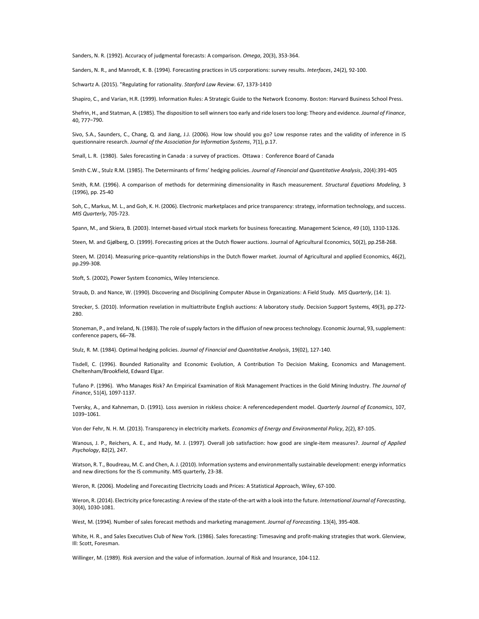Sanders, N. R. (1992). Accuracy of judgmental forecasts: A comparison. *Omega*, 20(3), 353-364.

Sanders, N. R., and Manrodt, K. B. (1994). Forecasting practices in US corporations: survey results. *Interfaces*, 24(2), 92-100.

Schwartz A. (2015). "Regulating for rationality. *Stanford Law Review*. 67, 1373-1410

Shapiro, C., and Varian, H.R. (1999). Information Rules: A Strategic Guide to the Network Economy. Boston: Harvard Business School Press.

Shefrin, H., and Statman, A. (1985). The disposition to sell winners too early and ride losers too long: Theory and evidence. *Journal of Finance*, 40, 777−790.

Sivo, S.A., Saunders, C., Chang, Q. and Jiang, J.J. (2006). How low should you go? Low response rates and the validity of inference in IS questionnaire research. *Journal of the Association for Information Systems*, 7(1), p.17.

Small, L. R. (1980). Sales forecasting in Canada : a survey of practices. Ottawa : Conference Board of Canada

Smith C.W., Stulz R.M. (1985). The Determinants of firms' hedging policies. *Journal of Financial and Quantitative Analysis*, 20(4):391-405

Smith, R.M. (1996). A comparison of methods for determining dimensionality in Rasch measurement. *Structural Equations Modeling*, 3 (1996), pp. 25-40

Soh, C., Markus, M. L., and Goh, K. H. (2006). Electronic marketplaces and price transparency: strategy, information technology, and success. *MIS Quarterly*, 705-723.

Spann, M., and Skiera, B. (2003). Internet-based virtual stock markets for business forecasting. Management Science, 49 (10), 1310-1326.

Steen, M. and Gjølberg, O. (1999). Forecasting prices at the Dutch flower auctions. Journal of Agricultural Economics, 50(2), pp.258-268.

Steen, M. (2014). Measuring price–quantity relationships in the Dutch flower market. Journal of Agricultural and applied Economics, 46(2), pp.299-308.

Stoft, S. (2002), Power System Economics, Wiley Interscience.

Straub, D. and Nance, W. (1990). Discovering and Disciplining Computer Abuse in Organizations: A Field Study. *MIS Quarterly*, (14: 1).

Strecker, S. (2010). Information revelation in multiattribute English auctions: A laboratory study. Decision Support Systems, 49(3), pp.272- 280.

Stoneman, P., and Ireland, N. (1983). The role of supply factors in the diffusion of new process technology. Economic Journal, 93, supplement: conference papers, 66–78.

Stulz, R. M. (1984). Optimal hedging policies. *Journal of Financial and Quantitative Analysis*, 19(02), 127-140.

Tisdell, C. (1996). Bounded Rationality and Economic Evolution, A Contribution To Decision Making, Economics and Management. Cheltenham/Brookfield, Edward Elgar.

Tufano P. (1996). Who Manages Risk? An Empirical Examination of Risk Management Practices in the Gold Mining Industry. *The Journal of Finance*, 51(4), 1097-1137.

Tversky, A., and Kahneman, D. (1991). Loss aversion in riskless choice: A referencedependent model. *Quarterly Journal of Economics*, 107, 1039−1061.

Von der Fehr, N. H. M. (2013). Transparency in electricity markets. *Economics of Energy and Environmental Policy*, 2(2), 87-105.

Wanous, J. P., Reichers, A. E., and Hudy, M. J. (1997). Overall job satisfaction: how good are single-item measures?. *Journal of Applied Psychology*, 82(2), 247.

Watson, R. T., Boudreau, M. C. and Chen, A. J. (2010). Information systems and environmentally sustainable development: energy informatics and new directions for the IS community. MIS quarterly, 23-38.

Weron, R. (2006). Modeling and Forecasting Electricity Loads and Prices: A Statistical Approach, Wiley, 67-100.

Weron, R. (2014). Electricity price forecasting: A review of the state-of-the-art with a look into the future. *International Journal of Forecasting*, 30(4), 1030-1081.

West, M. (1994). Number of sales forecast methods and marketing management. *Journal of Forecasting*. 13(4), 395-408.

White, H. R., and Sales Executives Club of New York. (1986). Sales forecasting: Timesaving and profit-making strategies that work. Glenview, Ill: Scott, Foresman.

Willinger, M. (1989). Risk aversion and the value of information. Journal of Risk and Insurance, 104-112.